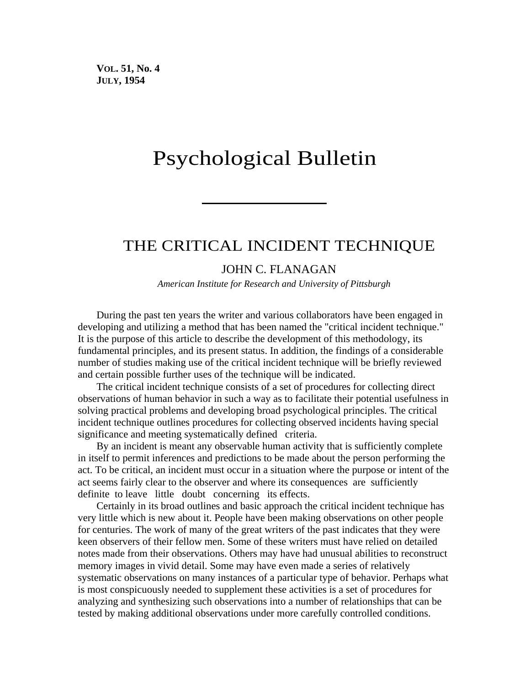**VOL. 51, No. 4 JULY, 1954**

# Psychological Bulletin

## THE CRITICAL INCIDENT TECHNIQUE

### JOHN C. FLANAGAN

*American Institute for Research and University of Pittsburgh* 

During the past ten years the writer and various collaborators have been engaged in developing and utilizing a method that has been named the "critical incident technique." It is the purpose of this article to describe the development of this methodology, its fundamental principles, and its present status. In addition, the findings of a considerable number of studies making use of the critical incident technique will be briefly reviewed and certain possible further uses of the technique will be indicated.

The critical incident technique consists of a set of procedures for collecting direct observations of human behavior in such a way as to facilitate their potential usefulness in solving practical problems and developing broad psychological principles. The critical incident technique outlines procedures for collecting observed incidents having special significance and meeting systematically defined criteria.

By an incident is meant any observable human activity that is sufficiently complete in itself to permit inferences and predictions to be made about the person performing the act. To be critical, an incident must occur in a situation where the purpose or intent of the act seems fairly clear to the observer and where its consequences are sufficiently definite to leave little doubt concerning its effects.

Certainly in its broad outlines and basic approach the critical incident technique has very little which is new about it. People have been making observations on other people for centuries. The work of many of the great writers of the past indicates that they were keen observers of their fellow men. Some of these writers must have relied on detailed notes made from their observations. Others may have had unusual abilities to reconstruct memory images in vivid detail. Some may have even made a series of relatively systematic observations on many instances of a particular type of behavior. Perhaps what is most conspicuously needed to supplement these activities is a set of procedures for analyzing and synthesizing such observations into a number of relationships that can be tested by making additional observations under more carefully controlled conditions.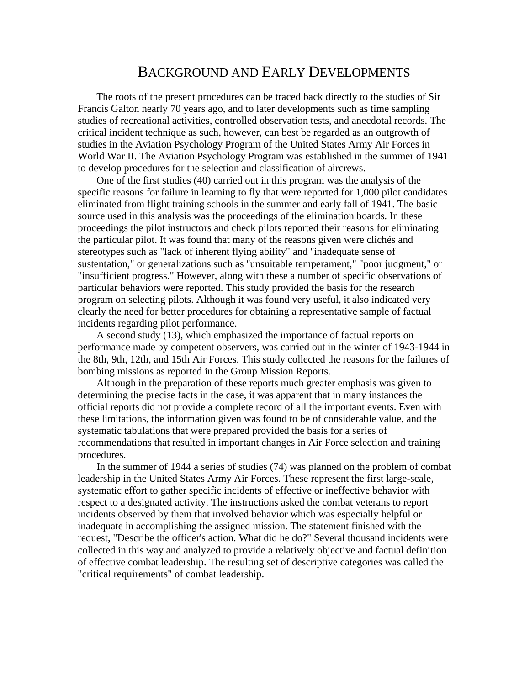## BACKGROUND AND EARLY DEVELOPMENTS

The roots of the present procedures can be traced back directly to the studies of Sir Francis Galton nearly 70 years ago, and to later developments such as time sampling studies of recreational activities, controlled observation tests, and anecdotal records. The critical incident technique as such, however, can best be regarded as an outgrowth of studies in the Aviation Psychology Program of the United States Army Air Forces in World War II. The Aviation Psychology Program was established in the summer of 1941 to develop procedures for the selection and classification of aircrews.

One of the first studies (40) carried out in this program was the analysis of the specific reasons for failure in learning to fly that were reported for 1,000 pilot candidates eliminated from flight training schools in the summer and early fall of 1941. The basic source used in this analysis was the proceedings of the elimination boards. In these proceedings the pilot instructors and check pilots reported their reasons for eliminating the particular pilot. It was found that many of the reasons given were clichés and stereotypes such as "lack of inherent flying ability" and ''inadequate sense of sustentation," or generalizations such as ''unsuitable temperament," "poor judgment," or "insufficient progress." However, along with these a number of specific observations of particular behaviors were reported. This study provided the basis for the research program on selecting pilots. Although it was found very useful, it also indicated very clearly the need for better procedures for obtaining a representative sample of factual incidents regarding pilot performance.

A second study (13), which emphasized the importance of factual reports on performance made by competent observers, was carried out in the winter of 1943-1944 in the 8th, 9th, 12th, and 15th Air Forces. This study collected the reasons for the failures of bombing missions as reported in the Group Mission Reports.

Although in the preparation of these reports much greater emphasis was given to determining the precise facts in the case, it was apparent that in many instances the official reports did not provide a complete record of all the important events. Even with these limitations, the information given was found to be of considerable value, and the systematic tabulations that were prepared provided the basis for a series of recommendations that resulted in important changes in Air Force selection and training procedures.

In the summer of 1944 a series of studies (74) was planned on the problem of combat leadership in the United States Army Air Forces. These represent the first large-scale, systematic effort to gather specific incidents of effective or ineffective behavior with respect to a designated activity. The instructions asked the combat veterans to report incidents observed by them that involved behavior which was especially helpful or inadequate in accomplishing the assigned mission. The statement finished with the request, "Describe the officer's action. What did he do?" Several thousand incidents were collected in this way and analyzed to provide a relatively objective and factual definition of effective combat leadership. The resulting set of descriptive categories was called the "critical requirements" of combat leadership.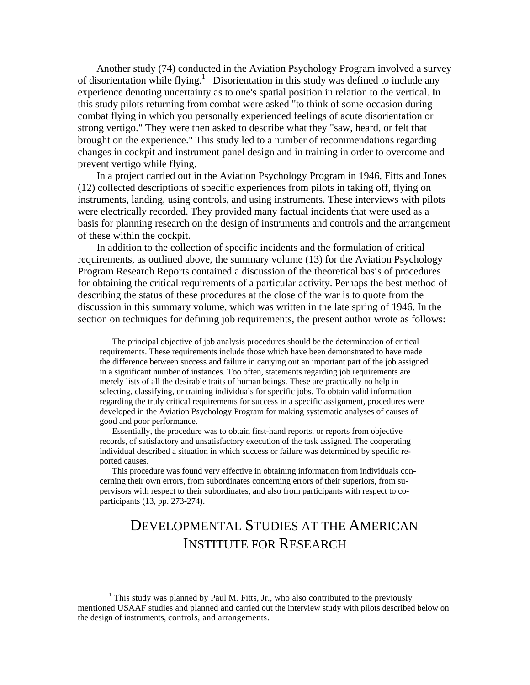Another study (74) conducted in the Aviation Psychology Program involved a survey of disorientation while flying.<sup>1</sup> Disorientation in this study was defined to include any experience denoting uncertainty as to one's spatial position in relation to the vertical. In this study pilots returning from combat were asked "to think of some occasion during combat flying in which you personally experienced feelings of acute disorientation or strong vertigo." They were then asked to describe what they "saw, heard, or felt that brought on the experience." This study led to a number of recommendations regarding changes in cockpit and instrument panel design and in training in order to overcome and prevent vertigo while flying.

In a project carried out in the Aviation Psychology Program in 1946, Fitts and Jones (12) collected descriptions of specific experiences from pilots in taking off, flying on instruments, landing, using controls, and using instruments. These interviews with pilots were electrically recorded. They provided many factual incidents that were used as a basis for planning research on the design of instruments and controls and the arrangement of these within the cockpit.

In addition to the collection of specific incidents and the formulation of critical requirements, as outlined above, the summary volume (13) for the Aviation Psychology Program Research Reports contained a discussion of the theoretical basis of procedures for obtaining the critical requirements of a particular activity. Perhaps the best method of describing the status of these procedures at the close of the war is to quote from the discussion in this summary volume, which was written in the late spring of 1946. In the section on techniques for defining job requirements, the present author wrote as follows:

The principal objective of job analysis procedures should be the determination of critical requirements. These requirements include those which have been demonstrated to have made the difference between success and failure in carrying out an important part of the job assigned in a significant number of instances. Too often, statements regarding job requirements are merely lists of all the desirable traits of human beings. These are practically no help in selecting, classifying, or training individuals for specific jobs. To obtain valid information regarding the truly critical requirements for success in a specific assignment, procedures were developed in the Aviation Psychology Program for making systematic analyses of causes of good and poor performance.

Essentially, the procedure was to obtain first-hand reports, or reports from objective records, of satisfactory and unsatisfactory execution of the task assigned. The cooperating individual described a situation in which success or failure was determined by specific reported causes.

This procedure was found very effective in obtaining information from individuals concerning their own errors, from subordinates concerning errors of their superiors, from supervisors with respect to their subordinates, and also from participants with respect to coparticipants (13, pp. 273-274).

## DEVELOPMENTAL STUDIES AT THE AMERICAN INSTITUTE FOR RESEARCH

<span id="page-2-0"></span> $\frac{1}{1}$ <sup>1</sup> This study was planned by Paul M. Fitts, Jr., who also contributed to the previously mentioned USAAF studies and planned and carried out the interview study with pilots described below on the design of instruments, controls, and arrangements.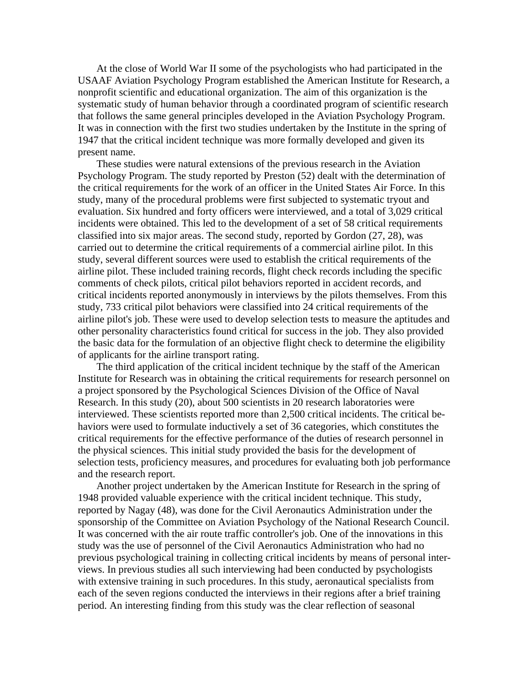At the close of World War II some of the psychologists who had participated in the USAAF Aviation Psychology Program established the American Institute for Research, a nonprofit scientific and educational organization. The aim of this organization is the systematic study of human behavior through a coordinated program of scientific research that follows the same general principles developed in the Aviation Psychology Program. It was in connection with the first two studies undertaken by the Institute in the spring of 1947 that the critical incident technique was more formally developed and given its present name.

These studies were natural extensions of the previous research in the Aviation Psychology Program. The study reported by Preston (52) dealt with the determination of the critical requirements for the work of an officer in the United States Air Force. In this study, many of the procedural problems were first subjected to systematic tryout and evaluation. Six hundred and forty officers were interviewed, and a total of 3,029 critical incidents were obtained. This led to the development of a set of 58 critical requirements classified into six major areas. The second study, reported by Gordon (27, 28), was carried out to determine the critical requirements of a commercial airline pilot. In this study, several different sources were used to establish the critical requirements of the airline pilot. These included training records, flight check records including the specific comments of check pilots, critical pilot behaviors reported in accident records, and critical incidents reported anonymously in interviews by the pilots themselves. From this study, 733 critical pilot behaviors were classified into 24 critical requirements of the airline pilot's job. These were used to develop selection tests to measure the aptitudes and other personality characteristics found critical for success in the job. They also provided the basic data for the formulation of an objective flight check to determine the eligibility of applicants for the airline transport rating.

The third application of the critical incident technique by the staff of the American Institute for Research was in obtaining the critical requirements for research personnel on a project sponsored by the Psychological Sciences Division of the Office of Naval Research. In this study (20), about 500 scientists in 20 research laboratories were interviewed. These scientists reported more than 2,500 critical incidents. The critical behaviors were used to formulate inductively a set of 36 categories, which constitutes the critical requirements for the effective performance of the duties of research personnel in the physical sciences. This initial study provided the basis for the development of selection tests, proficiency measures, and procedures for evaluating both job performance and the research report.

Another project undertaken by the American Institute for Research in the spring of 1948 provided valuable experience with the critical incident technique. This study, reported by Nagay (48), was done for the Civil Aeronautics Administration under the sponsorship of the Committee on Aviation Psychology of the National Research Council. It was concerned with the air route traffic controller's job. One of the innovations in this study was the use of personnel of the Civil Aeronautics Administration who had no previous psychological training in collecting critical incidents by means of personal interviews. In previous studies all such interviewing had been conducted by psychologists with extensive training in such procedures. In this study, aeronautical specialists from each of the seven regions conducted the interviews in their regions after a brief training period. An interesting finding from this study was the clear reflection of seasonal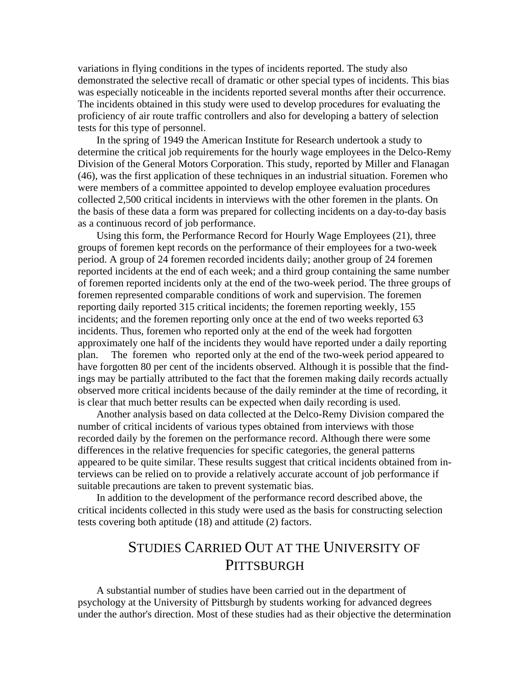variations in flying conditions in the types of incidents reported. The study also demonstrated the selective recall of dramatic or other special types of incidents. This bias was especially noticeable in the incidents reported several months after their occurrence. The incidents obtained in this study were used to develop procedures for evaluating the proficiency of air route traffic controllers and also for developing a battery of selection tests for this type of personnel.

In the spring of 1949 the American Institute for Research undertook a study to determine the critical job requirements for the hourly wage employees in the Delco-Remy Division of the General Motors Corporation. This study, reported by Miller and Flanagan (46), was the first application of these techniques in an industrial situation. Foremen who were members of a committee appointed to develop employee evaluation procedures collected 2,500 critical incidents in interviews with the other foremen in the plants. On the basis of these data a form was prepared for collecting incidents on a day-to-day basis as a continuous record of job performance.

Using this form, the Performance Record for Hourly Wage Employees (21), three groups of foremen kept records on the performance of their employees for a two-week period. A group of 24 foremen recorded incidents daily; another group of 24 foremen reported incidents at the end of each week; and a third group containing the same number of foremen reported incidents only at the end of the two-week period. The three groups of foremen represented comparable conditions of work and supervision. The foremen reporting daily reported 315 critical incidents; the foremen reporting weekly, 155 incidents; and the foremen reporting only once at the end of two weeks reported 63 incidents. Thus, foremen who reported only at the end of the week had forgotten approximately one half of the incidents they would have reported under a daily reporting plan. The foremen who reported only at the end of the two-week period appeared to have forgotten 80 per cent of the incidents observed. Although it is possible that the findings may be partially attributed to the fact that the foremen making daily records actually observed more critical incidents because of the daily reminder at the time of recording, it is clear that much better results can be expected when daily recording is used.

Another analysis based on data collected at the Delco-Remy Division compared the number of critical incidents of various types obtained from interviews with those recorded daily by the foremen on the performance record. Although there were some differences in the relative frequencies for specific categories, the general patterns appeared to be quite similar. These results suggest that critical incidents obtained from interviews can be relied on to provide a relatively accurate account of job performance if suitable precautions are taken to prevent systematic bias.

In addition to the development of the performance record described above, the critical incidents collected in this study were used as the basis for constructing selection tests covering both aptitude (18) and attitude (2) factors.

## STUDIES CARRIED OUT AT THE UNIVERSITY OF **PITTSBURGH**

A substantial number of studies have been carried out in the department of psychology at the University of Pittsburgh by students working for advanced degrees under the author's direction. Most of these studies had as their objective the determination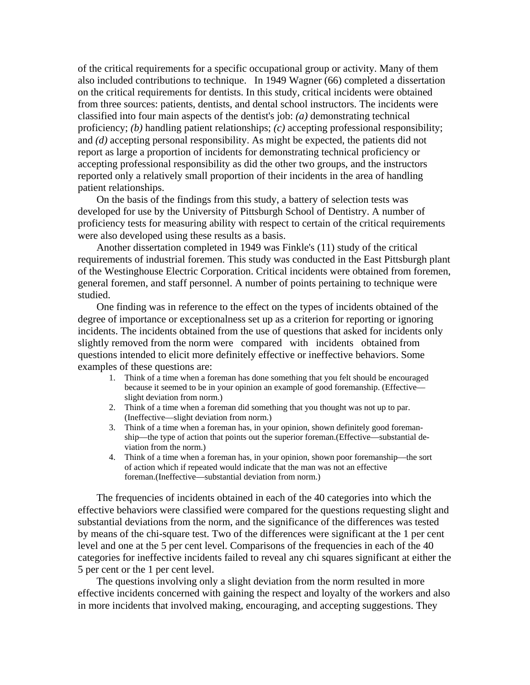of the critical requirements for a specific occupational group or activity. Many of them also included contributions to technique. In 1949 Wagner (66) completed a dissertation on the critical requirements for dentists. In this study, critical incidents were obtained from three sources: patients, dentists, and dental school instructors. The incidents were classified into four main aspects of the dentist's job: *(a)* demonstrating technical proficiency; *(b)* handling patient relationships; *(c)* accepting professional responsibility; and *(d)* accepting personal responsibility. As might be expected, the patients did not report as large a proportion of incidents for demonstrating technical proficiency or accepting professional responsibility as did the other two groups, and the instructors reported only a relatively small proportion of their incidents in the area of handling patient relationships.

On the basis of the findings from this study, a battery of selection tests was developed for use by the University of Pittsburgh School of Dentistry. A number of proficiency tests for measuring ability with respect to certain of the critical requirements were also developed using these results as a basis.

Another dissertation completed in 1949 was Finkle's (11) study of the critical requirements of industrial foremen. This study was conducted in the East Pittsburgh plant of the Westinghouse Electric Corporation. Critical incidents were obtained from foremen, general foremen, and staff personnel. A number of points pertaining to technique were studied.

One finding was in reference to the effect on the types of incidents obtained of the degree of importance or exceptionalness set up as a criterion for reporting or ignoring incidents. The incidents obtained from the use of questions that asked for incidents only slightly removed from the norm were compared with incidents obtained from questions intended to elicit more definitely effective or ineffective behaviors. Some examples of these questions are:

- 1. Think of a time when a foreman has done something that you felt should be encouraged because it seemed to be in your opinion an example of good foremanship. (Effective slight deviation from norm.)
- 2. Think of a time when a foreman did something that you thought was not up to par. (Ineffective—slight deviation from norm.)
- 3. Think of a time when a foreman has, in your opinion, shown definitely good foremanship—the type of action that points out the superior foreman.(Effective—substantial deviation from the norm.)
- 4. Think of a time when a foreman has, in your opinion, shown poor foremanship—the sort of action which if repeated would indicate that the man was not an effective foreman.(Ineffective—substantial deviation from norm.)

The frequencies of incidents obtained in each of the 40 categories into which the effective behaviors were classified were compared for the questions requesting slight and substantial deviations from the norm, and the significance of the differences was tested by means of the chi-square test. Two of the differences were significant at the 1 per cent level and one at the 5 per cent level. Comparisons of the frequencies in each of the 40 categories for ineffective incidents failed to reveal any chi squares significant at either the 5 per cent or the 1 per cent level.

The questions involving only a slight deviation from the norm resulted in more effective incidents concerned with gaining the respect and loyalty of the workers and also in more incidents that involved making, encouraging, and accepting suggestions. They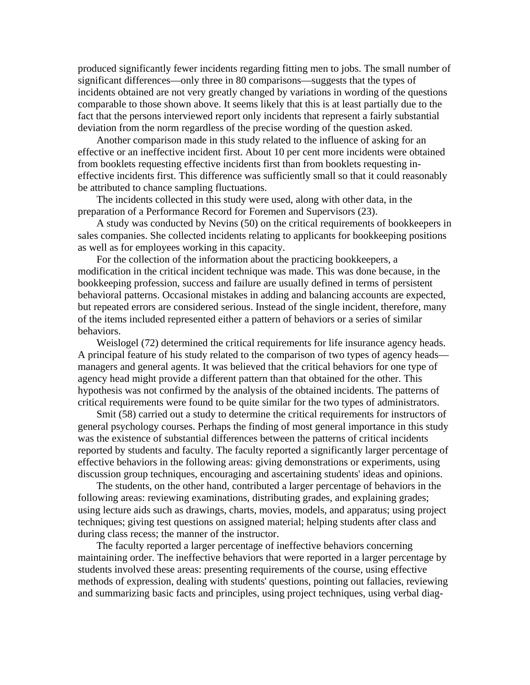produced significantly fewer incidents regarding fitting men to jobs. The small number of significant differences—only three in 80 comparisons—suggests that the types of incidents obtained are not very greatly changed by variations in wording of the questions comparable to those shown above. It seems likely that this is at least partially due to the fact that the persons interviewed report only incidents that represent a fairly substantial deviation from the norm regardless of the precise wording of the question asked.

Another comparison made in this study related to the influence of asking for an effective or an ineffective incident first. About 10 per cent more incidents were obtained from booklets requesting effective incidents first than from booklets requesting ineffective incidents first. This difference was sufficiently small so that it could reasonably be attributed to chance sampling fluctuations.

The incidents collected in this study were used, along with other data, in the preparation of a Performance Record for Foremen and Supervisors (23).

A study was conducted by Nevins (50) on the critical requirements of bookkeepers in sales companies. She collected incidents relating to applicants for bookkeeping positions as well as for employees working in this capacity.

For the collection of the information about the practicing bookkeepers, a modification in the critical incident technique was made. This was done because, in the bookkeeping profession, success and failure are usually defined in terms of persistent behavioral patterns. Occasional mistakes in adding and balancing accounts are expected, but repeated errors are considered serious. Instead of the single incident, therefore, many of the items included represented either a pattern of behaviors or a series of similar behaviors.

Weislogel (72) determined the critical requirements for life insurance agency heads. A principal feature of his study related to the comparison of two types of agency heads managers and general agents. It was believed that the critical behaviors for one type of agency head might provide a different pattern than that obtained for the other. This hypothesis was not confirmed by the analysis of the obtained incidents. The patterns of critical requirements were found to be quite similar for the two types of administrators.

Smit (58) carried out a study to determine the critical requirements for instructors of general psychology courses. Perhaps the finding of most general importance in this study was the existence of substantial differences between the patterns of critical incidents reported by students and faculty. The faculty reported a significantly larger percentage of effective behaviors in the following areas: giving demonstrations or experiments, using discussion group techniques, encouraging and ascertaining students' ideas and opinions.

The students, on the other hand, contributed a larger percentage of behaviors in the following areas: reviewing examinations, distributing grades, and explaining grades; using lecture aids such as drawings, charts, movies, models, and apparatus; using project techniques; giving test questions on assigned material; helping students after class and during class recess; the manner of the instructor.

The faculty reported a larger percentage of ineffective behaviors concerning maintaining order. The ineffective behaviors that were reported in a larger percentage by students involved these areas: presenting requirements of the course, using effective methods of expression, dealing with students' questions, pointing out fallacies, reviewing and summarizing basic facts and principles, using project techniques, using verbal diag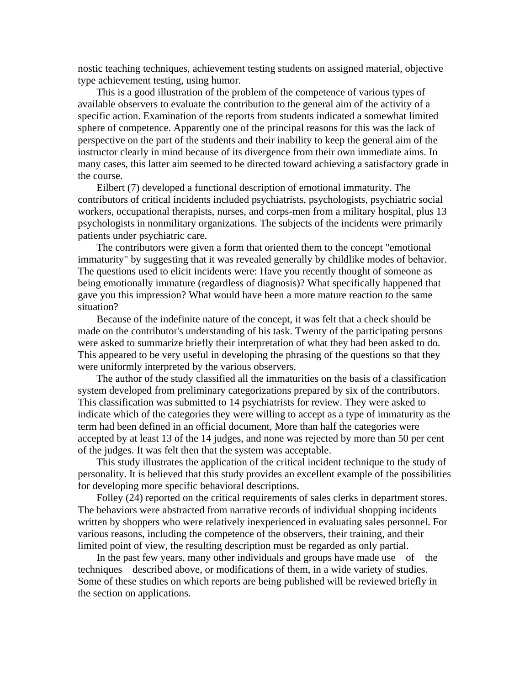nostic teaching techniques, achievement testing students on assigned material, objective type achievement testing, using humor.

This is a good illustration of the problem of the competence of various types of available observers to evaluate the contribution to the general aim of the activity of a specific action. Examination of the reports from students indicated a somewhat limited sphere of competence. Apparently one of the principal reasons for this was the lack of perspective on the part of the students and their inability to keep the general aim of the instructor clearly in mind because of its divergence from their own immediate aims. In many cases, this latter aim seemed to be directed toward achieving a satisfactory grade in the course.

Eilbert (7) developed a functional description of emotional immaturity. The contributors of critical incidents included psychiatrists, psychologists, psychiatric social workers, occupational therapists, nurses, and corps-men from a military hospital, plus 13 psychologists in nonmilitary organizations. The subjects of the incidents were primarily patients under psychiatric care.

The contributors were given a form that oriented them to the concept "emotional immaturity" by suggesting that it was revealed generally by childlike modes of behavior. The questions used to elicit incidents were: Have you recently thought of someone as being emotionally immature (regardless of diagnosis)? What specifically happened that gave you this impression? What would have been a more mature reaction to the same situation?

Because of the indefinite nature of the concept, it was felt that a check should be made on the contributor's understanding of his task. Twenty of the participating persons were asked to summarize briefly their interpretation of what they had been asked to do. This appeared to be very useful in developing the phrasing of the questions so that they were uniformly interpreted by the various observers.

The author of the study classified all the immaturities on the basis of a classification system developed from preliminary categorizations prepared by six of the contributors. This classification was submitted to 14 psychiatrists for review. They were asked to indicate which of the categories they were willing to accept as a type of immaturity as the term had been defined in an official document, More than half the categories were accepted by at least 13 of the 14 judges, and none was rejected by more than 50 per cent of the judges. It was felt then that the system was acceptable.

This study illustrates the application of the critical incident technique to the study of personality. It is believed that this study provides an excellent example of the possibilities for developing more specific behavioral descriptions.

Folley (24) reported on the critical requirements of sales clerks in department stores. The behaviors were abstracted from narrative records of individual shopping incidents written by shoppers who were relatively inexperienced in evaluating sales personnel. For various reasons, including the competence of the observers, their training, and their limited point of view, the resulting description must be regarded as only partial.

In the past few years, many other individuals and groups have made use of the techniques described above, or modifications of them, in a wide variety of studies. Some of these studies on which reports are being published will be reviewed briefly in the section on applications.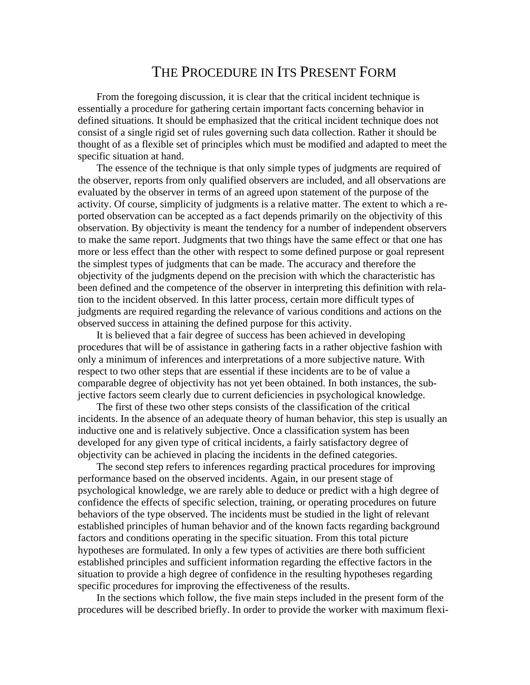## THE PROCEDURE IN ITS PRESENT FORM

From the foregoing discussion, it is clear that the critical incident technique is essentially a procedure for gathering certain important facts concerning behavior in defined situations. It should be emphasized that the critical incident technique does not consist of a single rigid set of rules governing such data collection. Rather it should be thought of as a flexible set of principles which must be modified and adapted to meet the specific situation at hand.

The essence of the technique is that only simple types of judgments are required of the observer, reports from only qualified observers are included, and all observations are evaluated by the observer in terms of an agreed upon statement of the purpose of the activity. Of course, simplicity of judgments is a relative matter. The extent to which a reported observation can be accepted as a fact depends primarily on the objectivity of this observation. By objectivity is meant the tendency for a number of independent observers to make the same report. Judgments that two things have the same effect or that one has more or less effect than the other with respect to some defined purpose or goal represent the simplest types of judgments that can be made. The accuracy and therefore the objectivity of the judgments depend on the precision with which the characteristic has been defined and the competence of the observer in interpreting this definition with relation to the incident observed. In this latter process, certain more difficult types of judgments are required regarding the relevance of various conditions and actions on the observed success in attaining the defined purpose for this activity.

It is believed that a fair degree of success has been achieved in developing procedures that will be of assistance in gathering facts in a rather objective fashion with only a minimum of inferences and interpretations of a more subjective nature. With respect to two other steps that are essential if these incidents are to be of value a comparable degree of objectivity has not yet been obtained. In both instances, the subjective factors seem clearly due to current deficiencies in psychological knowledge.

The first of these two other steps consists of the classification of the critical incidents. In the absence of an adequate theory of human behavior, this step is usually an inductive one and is relatively subjective. Once a classification system has been developed for any given type of critical incidents, a fairly satisfactory degree of objectivity can be achieved in placing the incidents in the defined categories.

The second step refers to inferences regarding practical procedures for improving performance based on the observed incidents. Again, in our present stage of psychological knowledge, we are rarely able to deduce or predict with a high degree of confidence the effects of specific selection, training, or operating procedures on future behaviors of the type observed. The incidents must be studied in the light of relevant established principles of human behavior and of the known facts regarding background factors and conditions operating in the specific situation. From this total picture hypotheses are formulated. In only a few types of activities are there both sufficient established principles and sufficient information regarding the effective factors in the situation to provide a high degree of confidence in the resulting hypotheses regarding specific procedures for improving the effectiveness of the results.

In the sections which follow, the five main steps included in the present form of the procedures will be described briefly. In order to provide the worker with maximum flexi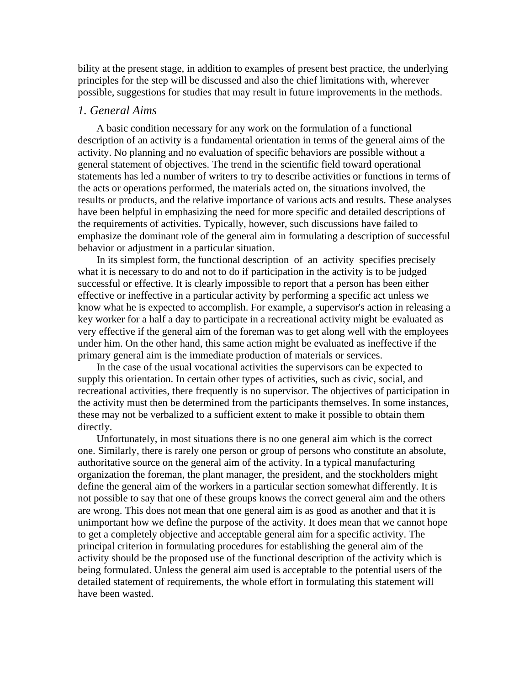bility at the present stage, in addition to examples of present best practice, the underlying principles for the step will be discussed and also the chief limitations with, wherever possible, suggestions for studies that may result in future improvements in the methods.

#### *1. General Aims*

A basic condition necessary for any work on the formulation of a functional description of an activity is a fundamental orientation in terms of the general aims of the activity. No planning and no evaluation of specific behaviors are possible without a general statement of objectives. The trend in the scientific field toward operational statements has led a number of writers to try to describe activities or functions in terms of the acts or operations performed, the materials acted on, the situations involved, the results or products, and the relative importance of various acts and results. These analyses have been helpful in emphasizing the need for more specific and detailed descriptions of the requirements of activities. Typically, however, such discussions have failed to emphasize the dominant role of the general aim in formulating a description of successful behavior or adjustment in a particular situation.

In its simplest form, the functional description of an activity specifies precisely what it is necessary to do and not to do if participation in the activity is to be judged successful or effective. It is clearly impossible to report that a person has been either effective or ineffective in a particular activity by performing a specific act unless we know what he is expected to accomplish. For example, a supervisor's action in releasing a key worker for a half a day to participate in a recreational activity might be evaluated as very effective if the general aim of the foreman was to get along well with the employees under him. On the other hand, this same action might be evaluated as ineffective if the primary general aim is the immediate production of materials or services.

In the case of the usual vocational activities the supervisors can be expected to supply this orientation. In certain other types of activities, such as civic, social, and recreational activities, there frequently is no supervisor. The objectives of participation in the activity must then be determined from the participants themselves. In some instances, these may not be verbalized to a sufficient extent to make it possible to obtain them directly.

Unfortunately, in most situations there is no one general aim which is the correct one. Similarly, there is rarely one person or group of persons who constitute an absolute, authoritative source on the general aim of the activity. In a typical manufacturing organization the foreman, the plant manager, the president, and the stockholders might define the general aim of the workers in a particular section somewhat differently. It is not possible to say that one of these groups knows the correct general aim and the others are wrong. This does not mean that one general aim is as good as another and that it is unimportant how we define the purpose of the activity. It does mean that we cannot hope to get a completely objective and acceptable general aim for a specific activity. The principal criterion in formulating procedures for establishing the general aim of the activity should be the proposed use of the functional description of the activity which is being formulated. Unless the general aim used is acceptable to the potential users of the detailed statement of requirements, the whole effort in formulating this statement will have been wasted.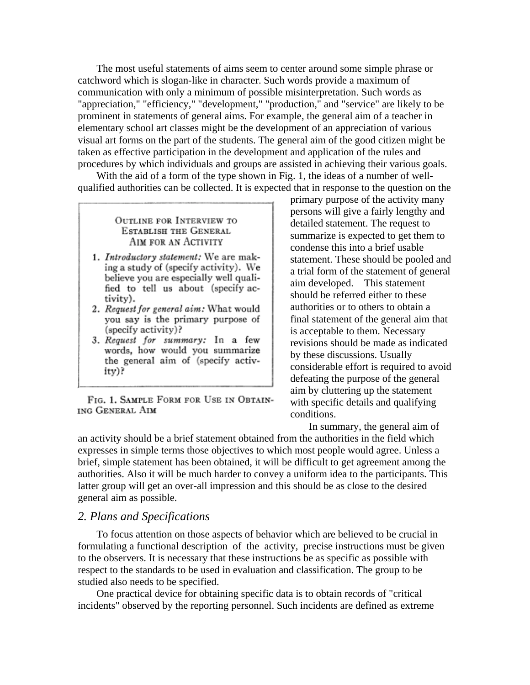The most useful statements of aims seem to center around some simple phrase or catchword which is slogan-like in character. Such words provide a maximum of communication with only a minimum of possible misinterpretation. Such words as "appreciation," "efficiency," "development," "production," and "service" are likely to be prominent in statements of general aims. For example, the general aim of a teacher in elementary school art classes might be the development of an appreciation of various visual art forms on the part of the students. The general aim of the good citizen might be taken as effective participation in the development and application of the rules and procedures by which individuals and groups are assisted in achieving their various goals.

With the aid of a form of the type shown in Fig. 1, the ideas of a number of wellqualified authorities can be collected. It is expected that in response to the question on the

#### **OUTLINE FOR INTERVIEW TO ESTABLISH THE GENERAL** AIM FOR AN ACTIVITY

- 1. Introductory statement: We are making a study of (specify activity). We believe you are especially well qualified to tell us about (specify activity).
- 2. Request for general aim: What would you say is the primary purpose of (specify activity)?
- 3. Request for summary: In a few words, how would you summarize the general aim of (specify activity)?

FIG. 1. SAMPLE FORM FOR USE IN OBTAIN-ING GENERAL AIM

primary purpose of the activity many persons will give a fairly lengthy and detailed statement. The request to summarize is expected to get them to condense this into a brief usable statement. These should be pooled a nd a trial form of the statement of gener al aim developed. This statemen t should be referred either to these authorities or to others to obtain a final statement of the general aim tha t is acceptable to them. Necessary revisions should be made as indicated by these discussions. Usually considerable effort is required to a void defeating the purpose of the genera l aim by cluttering up the statemen t with specific details and qualifying conditions.

In summary, the general aim of

an activity should be a brief statement obtained from the authorities in the field which expresses in simple terms those objectives to which most people would agree. Unless a brief, simple statement has been obtained, it will be difficult to get agreement among the authorities. Also it will be much harder to convey a uniform idea to the participants. This latter group will get an over-all impression and this should be as close to the desired general aim as possible.

#### *2. Plans and Specifications*

To focus attention on those aspects of behavior which are believed to be crucial in formulating a functional description of the activity, precise instructions must be given to the observers. It is necessary that these instructions be as specific as possible with respect to the standards to be used in evaluation and classification. The group to be studied also needs to be specified.

One practical device for obtaining specific data is to obtain records of "critical incidents" observed by the reporting personnel. Such incidents are defined as extreme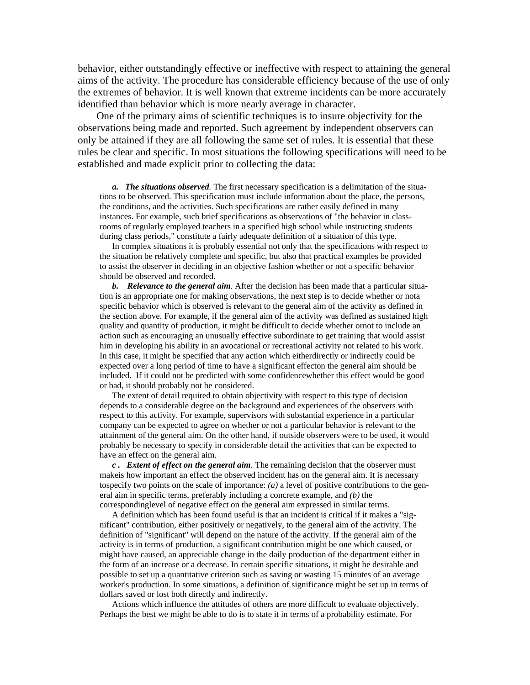behavior, either outstandingly effective or ineffective with respect to attaining the general aims of the activity. The procedure has considerable efficiency because of the use of only the extremes of behavior. It is well known that extreme incidents can be more accurately identified than behavior which is more nearly average in character.

One of the primary aims of scientific techniques is to insure objectivity for the observations being made and reported. Such agreement by independent observers can only be attained if they are all following the same set of rules. It is essential that these rules be clear and specific. In most situations the following specifications will need to be established and made explicit prior to collecting the data:

*a. The situations observed.* The first necessary specification is a delimitation of the situations to be observed. This specification must include information about the place, the persons, the conditions, and the activities. Such specifications are rather easily defined in many instances. For example, such brief specifications as observations of "the behavior in classrooms of regularly employed teachers in a specified high school while instructing students during class periods," constitute a fairly adequate definition of a situation of this type.

In complex situations it is probably essential not only that the specifications with respect to the situation be relatively complete and specific, but also that practical examples be provided to assist the observer in deciding in an objective fashion whether or not a specific behavior should be observed and recorded.

**b.** Relevance to the general aim. After the decision has been made that a particular situation is an appropriate one for making observations, the next step is to decide whether or nota specific behavior which is observed is relevant to the general aim of the activity as defined in the section above. For example, if the general aim of the activity was defined as sustained high quality and quantity of production, it might be difficult to decide whether ornot to include an action such as encouraging an unusually effective subordinate to get training that would assist him in developing his ability in an avocational or recreational activity not related to his work. In this case, it might be specified that any action which eitherdirectly or indirectly could be expected over a long period of time to have a significant effecton the general aim should be included. If it could not be predicted with some confidencewhether this effect would be good or bad, it should probably not be considered.

The extent of detail required to obtain objectivity with respect to this type of decision depends to a considerable degree on the background and experiences of the observers with respect to this activity. For example, supervisors with substantial experience in a particular company can be expected to agree on whether or not a particular behavior is relevant to the attainment of the general aim. On the other hand, if outside observers were to be used, it would probably be necessary to specify in considerable detail the activities that can be expected to have an effect on the general aim.

*c . Extent of effect on the general aim.* The remaining decision that the observer must makeis how important an effect the observed incident has on the general aim. It is necessary tospecify two points on the scale of importance: *(a)* a level of positive contributions to the general aim in specific terms, preferably including a concrete example, and *(b)* the correspondinglevel of negative effect on the general aim expressed in similar terms.

A definition which has been found useful is that an incident is critical if it makes a "significant" contribution, either positively or negatively, to the general aim of the activity. The definition of "significant" will depend on the nature of the activity. If the general aim of the activity is in terms of production, a significant contribution might be one which caused, or might have caused, an appreciable change in the daily production of the department either in the form of an increase or a decrease. In certain specific situations, it might be desirable and possible to set up a quantitative criterion such as saving or wasting 15 minutes of an average worker's production. In some situations, a definition of significance might be set up in terms of dollars saved or lost both directly and indirectly.

Actions which influence the attitudes of others are more difficult to evaluate objectively. Perhaps the best we might be able to do is to state it in terms of a probability estimate. For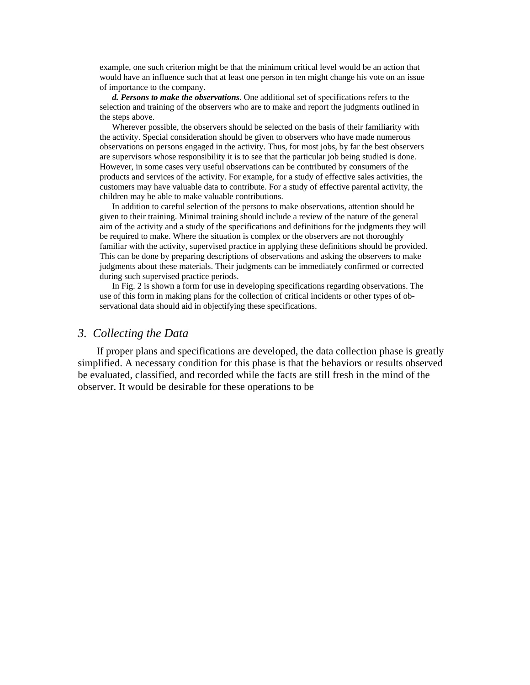example, one such criterion might be that the minimum critical level would be an action that would have an influence such that at least one person in ten might change his vote on an issue of importance to the company.

*d. Persons to make the observations.* One additional set of specifications refers to the selection and training of the observers who are to make and report the judgments outlined in the steps above.

Wherever possible, the observers should be selected on the basis of their familiarity with the activity. Special consideration should be given to observers who have made numerous observations on persons engaged in the activity. Thus, for most jobs, by far the best observers are supervisors whose responsibility it is to see that the particular job being studied is done. However, in some cases very useful observations can be contributed by consumers of the products and services of the activity. For example, for a study of effective sales activities, the customers may have valuable data to contribute. For a study of effective parental activity, the children may be able to make valuable contributions.

In addition to careful selection of the persons to make observations, attention should be given to their training. Minimal training should include a review of the nature of the general aim of the activity and a study of the specifications and definitions for the judgments they will be required to make. Where the situation is complex or the observers are not thoroughly familiar with the activity, supervised practice in applying these definitions should be provided. This can be done by preparing descriptions of observations and asking the observers to make judgments about these materials. Their judgments can be immediately confirmed or corrected during such supervised practice periods.

In Fig. 2 is shown a form for use in developing specifications regarding observations. The use of this form in making plans for the collection of critical incidents or other types of observational data should aid in objectifying these specifications.

#### *3. Collecting the Data*

If proper plans and specifications are developed, the data collection phase is greatly simplified. A necessary condition for this phase is that the behaviors or results observed be evaluated, classified, and recorded while the facts are still fresh in the mind of the observer. It would be desirable for these operations to be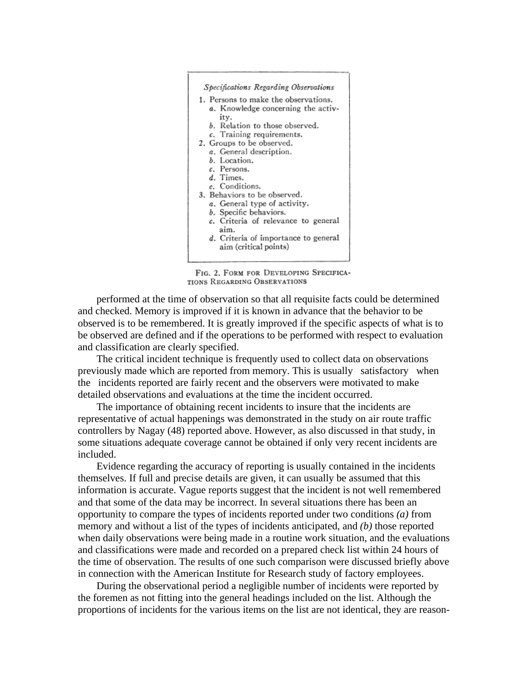

FIG. 2. FORM FOR DEVELOPING SPECIFICA-TIONS REGARDING OBSERVATIONS

performed at the time of observation so that all requisite facts could be determined and checked. Memory is improved if it is known in advance that the behavior to be observed is to be remembered. It is greatly improved if the specific aspects of what is to be observed are defined and if the operations to be performed with respect to evaluation and classification are clearly specified.

The critical incident technique is frequently used to collect data on observations previously made which are reported from memory. This is usually satisfactory when the incidents reported are fairly recent and the observers were motivated to make detailed observations and evaluations at the time the incident occurred.

The importance of obtaining recent incidents to insure that the incidents are representative of actual happenings was demonstrated in the study on air route traffic controllers by Nagay (48) reported above. However, as also discussed in that study, in some situations adequate coverage cannot be obtained if only very recent incidents are included.

Evidence regarding the accuracy of reporting is usually contained in the incidents themselves. If full and precise details are given, it can usually be assumed that this information is accurate. Vague reports suggest that the incident is not well remembered and that some of the data may be incorrect. In several situations there has been an opportunity to compare the types of incidents reported under two conditions *(a)* from memory and without a list of the types of incidents anticipated, and *(b)* those reported when daily observations were being made in a routine work situation, and the evaluations and classifications were made and recorded on a prepared check list within 24 hours of the time of observation. The results of one such comparison were discussed briefly above in connection with the American Institute for Research study of factory employees.

During the observational period a negligible number of incidents were reported by the foremen as not fitting into the general headings included on the list. Although the proportions of incidents for the various items on the list are not identical, they are reason-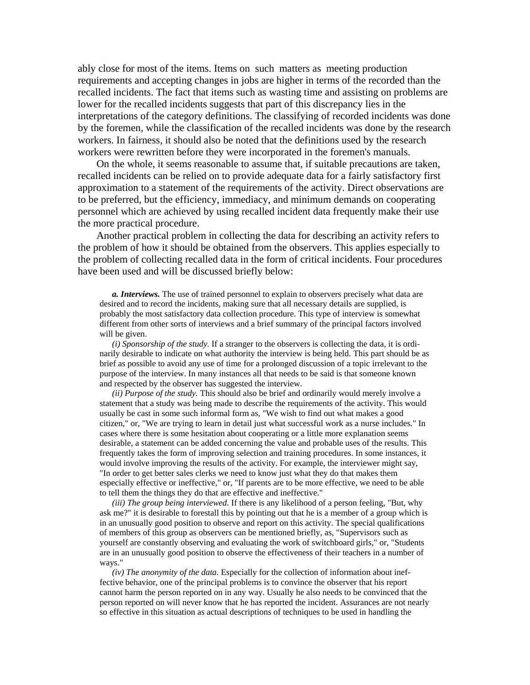ably close for most of the items. Items on such matters as meeting production requirements and accepting changes in jobs are higher in terms of the recorded than the recalled incidents. The fact that items such as wasting time and assisting on problems are lower for the recalled incidents suggests that part of this discrepancy lies in the interpretations of the category definitions. The classifying of recorded incidents was done by the foremen, while the classification of the recalled incidents was done by the research workers. In fairness, it should also be noted that the definitions used by the research workers were rewritten before they were incorporated in the foremen's manuals.

On the whole, it seems reasonable to assume that, if suitable precautions are taken, recalled incidents can be relied on to provide adequate data for a fairly satisfactory first approximation to a statement of the requirements of the activity. Direct observations are to be preferred, but the efficiency, immediacy, and minimum demands on cooperating personnel which are achieved by using recalled incident data frequently make their use the more practical procedure.

Another practical problem in collecting the data for describing an activity refers to the problem of how it should be obtained from the observers. This applies especially to the problem of collecting recalled data in the form of critical incidents. Four procedures have been used and will be discussed briefly below:

*a. Interviews.* The use of trained personnel to explain to observers precisely what data are desired and to record the incidents, making sure that all necessary details are supplied, is probably the most satisfactory data collection procedure. This type of interview is somewhat different from other sorts of interviews and a brief summary of the principal factors involved will be given.

*(i) Sponsorship of the study.* If a stranger to the observers is collecting the data, it is ordinarily desirable to indicate on what authority the interview is being held. This part should be as brief as possible to avoid any use of time for a prolonged discussion of a topic irrelevant to the purpose of the interview. In many instances all that needs to be said is that someone known and respected by the observer has suggested the interview.

*(ii) Purpose of the study.* This should also be brief and ordinarily would merely involve a statement that a study was being made to describe the requirements of the activity. This would usually be cast in some such informal form as, "We wish to find out what makes a good citizen," or, "We are trying to learn in detail just what successful work as a nurse includes." In cases where there is some hesitation about cooperating or a little more explanation seems desirable, a statement can be added concerning the value and probable uses of the results. This frequently takes the form of improving selection and training procedures. In some instances, it would involve improving the results of the activity. For example, the interviewer might say, "In order to get better sales clerks we need to know just what they do that makes them especially effective or ineffective," or, "If parents are to be more effective, we need to be able to tell them the things they do that are effective and ineffective."

*(iii) The group being interviewed.* If there is any likelihood of a person feeling, "But, why ask me?" it is desirable to forestall this by pointing out that he is a member of a group which is in an unusually good position to observe and report on this activity. The special qualifications of members of this group as observers can be mentioned briefly, as, "Supervisors such as yourself are constantly observing and evaluating the work of switchboard girls," or, "Students are in an unusually good position to observe the effectiveness of their teachers in a number of ways."

*(iv) The anonymity of the data.* Especially for the collection of information about ineffective behavior, one of the principal problems is to convince the observer that his report cannot harm the person reported on in any way. Usually he also needs to be convinced that the person reported on will never know that he has reported the incident. Assurances are not nearly so effective in this situation as actual descriptions of techniques to be used in handling the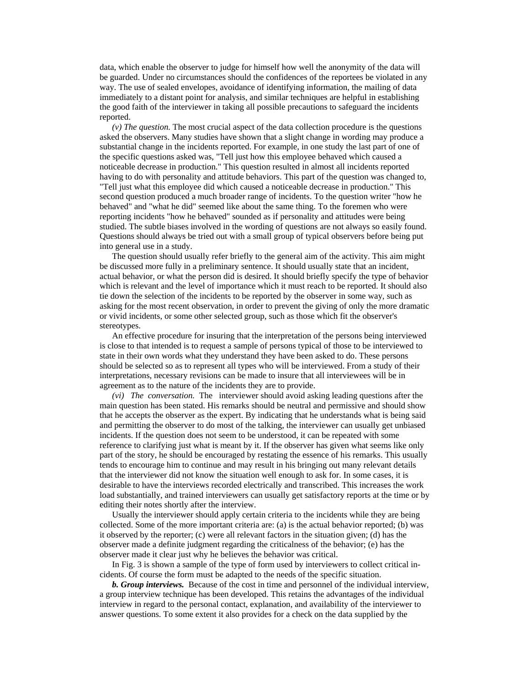data, which enable the observer to judge for himself how well the anonymity of the data will be guarded. Under no circumstances should the confidences of the reportees be violated in any way. The use of sealed envelopes, avoidance of identifying information, the mailing of data immediately to a distant point for analysis, and similar techniques are helpful in establishing the good faith of the interviewer in taking all possible precautions to safeguard the incidents reported.

*(v) The question.* The most crucial aspect of the data collection procedure is the questions asked the observers. Many studies have shown that a slight change in wording may produce a substantial change in the incidents reported. For example, in one study the last part of one of the specific questions asked was, "Tell just how this employee behaved which caused a noticeable decrease in production." This question resulted in almost all incidents reported having to do with personality and attitude behaviors. This part of the question was changed to, "Tell just what this employee did which caused a noticeable decrease in production." This second question produced a much broader range of incidents. To the question writer "how he behaved" and "what he did" seemed like about the same thing. To the foremen who were reporting incidents "how he behaved" sounded as if personality and attitudes were being studied. The subtle biases involved in the wording of questions are not always so easily found. Questions should always be tried out with a small group of typical observers before being put into general use in a study.

The question should usually refer briefly to the general aim of the activity. This aim might be discussed more fully in a preliminary sentence. It should usually state that an incident, actual behavior, or what the person did is desired. It should briefly specify the type of behavior which is relevant and the level of importance which it must reach to be reported. It should also tie down the selection of the incidents to be reported by the observer in some way, such as asking for the most recent observation, in order to prevent the giving of only the more dramatic or vivid incidents, or some other selected group, such as those which fit the observer's stereotypes.

An effective procedure for insuring that the interpretation of the persons being interviewed is close to that intended is to request a sample of persons typical of those to be interviewed to state in their own words what they understand they have been asked to do. These persons should be selected so as to represent all types who will be interviewed. From a study of their interpretations, necessary revisions can be made to insure that all interviewees will be in agreement as to the nature of the incidents they are to provide.

*(vi) The conversation.* The interviewer should avoid asking leading questions after the main question has been stated. His remarks should be neutral and permissive and should show that he accepts the observer as the expert. By indicating that he understands what is being said and permitting the observer to do most of the talking, the interviewer can usually get unbiased incidents. If the question does not seem to be understood, it can be repeated with some reference to clarifying just what is meant by it. If the observer has given what seems like only part of the story, he should be encouraged by restating the essence of his remarks. This usually tends to encourage him to continue and may result in his bringing out many relevant details that the interviewer did not know the situation well enough to ask for. In some cases, it is desirable to have the interviews recorded electrically and transcribed. This increases the work load substantially, and trained interviewers can usually get satisfactory reports at the time or by editing their notes shortly after the interview.

Usually the interviewer should apply certain criteria to the incidents while they are being collected. Some of the more important criteria are: (a) is the actual behavior reported; (b) was it observed by the reporter; (c) were all relevant factors in the situation given; (d) has the observer made a definite judgment regarding the criticalness of the behavior; (e) has the observer made it clear just why he believes the behavior was critical.

In Fig. 3 is shown a sample of the type of form used by interviewers to collect critical incidents. Of course the form must be adapted to the needs of the specific situation.

*b. Group interviews.* Because of the cost in time and personnel of the individual interview, a group interview technique has been developed. This retains the advantages of the individual interview in regard to the personal contact, explanation, and availability of the interviewer to answer questions. To some extent it also provides for a check on the data supplied by the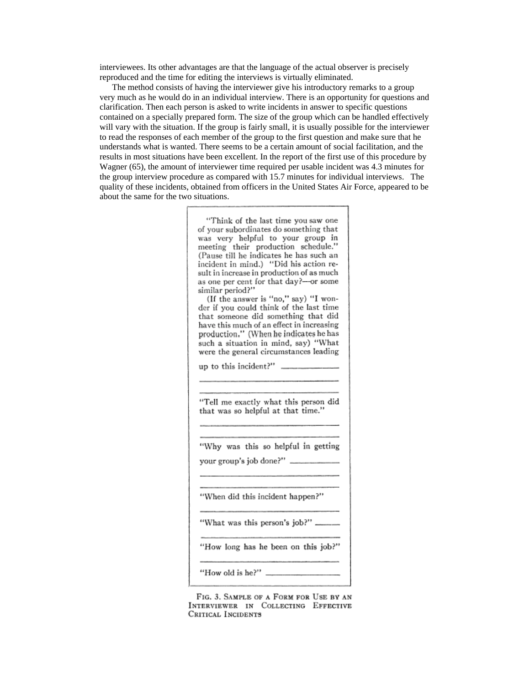interviewees. Its other advantages are that the language of the actual observer is precisely reproduced and the time for editing the interviews is virtually eliminated.

The method consists of having the interviewer give his introductory remarks to a group very much as he would do in an individual interview. There is an opportunity for questions and clarification. Then each person is asked to write incidents in answer to specific questions contained on a specially prepared form. The size of the group which can be handled effectively will vary with the situation. If the group is fairly small, it is usually possible for the interviewer to read the responses of each member of the group to the first question and make sure that he understands what is wanted. There seems to be a certain amount of social facilitation, and the results in most situations have been excellent. In the report of the first use of this procedure by Wagner (65), the amount of interviewer time required per usable incident was 4.3 minutes for the group interview procedure as compared with 15.7 minutes for individual interviews. The quality of these incidents, obtained from officers in the United States Air Force, appeared to be about the same for the two situations.

> "Think of the last time you saw one of your subordinates do something that was very helpful to your group in meeting their production schedule." (Pause till he indicates he has such an incident in mind.) "Did his action result in increase in production of as much as one per cent for that day?-or some similar period?"

> (If the answer is "no," say) "I wonder if you could think of the last time that someone did something that did have this much of an effect in increasing production." (When he indicates he has such a situation in mind, say) "What were the general circumstances leading

up to this incident?"

"Tell me exactly what this person did that was so helpful at that time."

"Why was this so helpful in getting

your group's job done?"

"When did this incident happen?"

"What was this person's job?" .....

"How long has he been on this job?"

"How old is he?"  $-$ 

FIG. 3. SAMPLE OF A FORM FOR USE BY AN INTERVIEWER IN COLLECTING EFFECTIVE CRITICAL INCIDENTS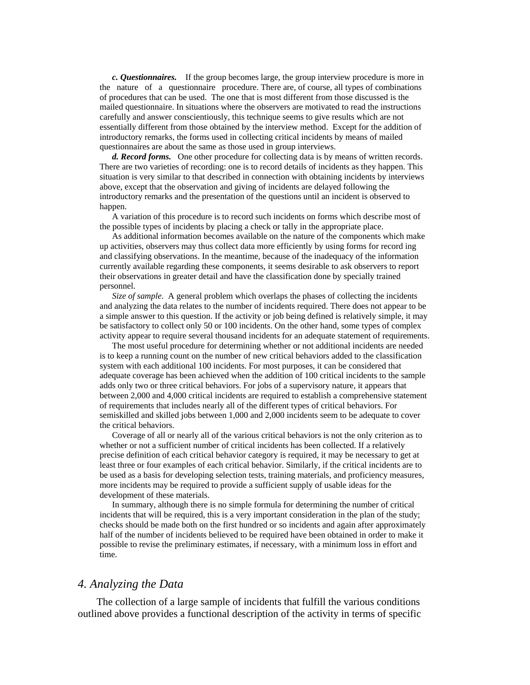*c. Questionnaires.* If the group becomes large, the group interview procedure is more in the nature of a questionnaire procedure. There are, of course, all types of combinations of procedures that can be used. The one that is most different from those discussed is the mailed questionnaire. In situations where the observers are motivated to read the instructions carefully and answer conscientiously, this technique seems to give results which are not essentially different from those obtained by the interview method. Except for the addition of introductory remarks, the forms used in collecting critical incidents by means of mailed questionnaires are about the same as those used in group interviews.

*d. Record forms.* One other procedure for collecting data is by means of written records. There are two varieties of recording: one is to record details of incidents as they happen. This situation is very similar to that described in connection with obtaining incidents by interviews above, except that the observation and giving of incidents are delayed following the introductory remarks and the presentation of the questions until an incident is observed to happen.

A variation of this procedure is to record such incidents on forms which describe most of the possible types of incidents by placing a check or tally in the appropriate place.

As additional information becomes available on the nature of the components which make up activities, observers may thus collect data more efficiently by using forms for record ing and classifying observations. In the meantime, because of the inadequacy of the information currently available regarding these components, it seems desirable to ask observers to report their observations in greater detail and have the classification done by specially trained personnel.

*Size of sample.* A general problem which overlaps the phases of collecting the incidents and analyzing the data relates to the number of incidents required. There does not appear to be a simple answer to this question. If the activity or job being defined is relatively simple, it may be satisfactory to collect only 50 or 100 incidents. On the other hand, some types of complex activity appear to require several thousand incidents for an adequate statement of requirements.

The most useful procedure for determining whether or not additional incidents are needed is to keep a running count on the number of new critical behaviors added to the classification system with each additional 100 incidents. For most purposes, it can be considered that adequate coverage has been achieved when the addition of 100 critical incidents to the sample adds only two or three critical behaviors. For jobs of a supervisory nature, it appears that between 2,000 and 4,000 critical incidents are required to establish a comprehensive statement of requirements that includes nearly all of the different types of critical behaviors. For semiskilled and skilled jobs between 1,000 and 2,000 incidents seem to be adequate to cover the critical behaviors.

Coverage of all or nearly all of the various critical behaviors is not the only criterion as to whether or not a sufficient number of critical incidents has been collected. If a relatively precise definition of each critical behavior category is required, it may be necessary to get at least three or four examples of each critical behavior. Similarly, if the critical incidents are to be used as a basis for developing selection tests, training materials, and proficiency measures, more incidents may be required to provide a sufficient supply of usable ideas for the development of these materials.

In summary, although there is no simple formula for determining the number of critical incidents that will be required, this is a very important consideration in the plan of the study; checks should be made both on the first hundred or so incidents and again after approximately half of the number of incidents believed to be required have been obtained in order to make it possible to revise the preliminary estimates, if necessary, with a minimum loss in effort and time.

#### *4. Analyzing the Data*

The collection of a large sample of incidents that fulfill the various conditions outlined above provides a functional description of the activity in terms of specific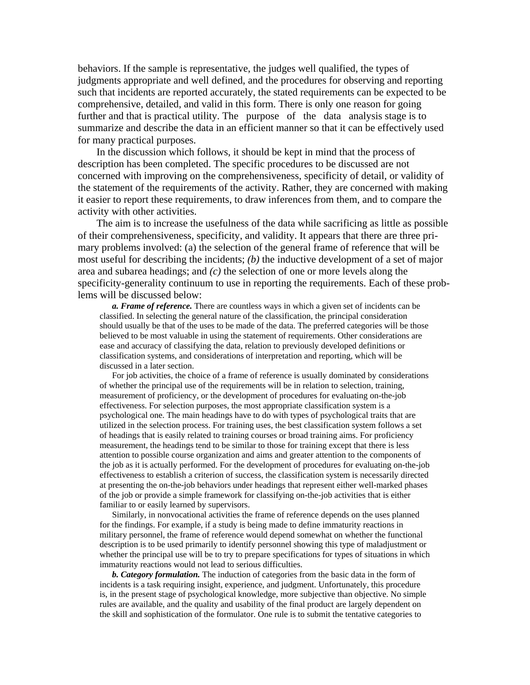behaviors. If the sample is representative, the judges well qualified, the types of judgments appropriate and well defined, and the procedures for observing and reporting such that incidents are reported accurately, the stated requirements can be expected to be comprehensive, detailed, and valid in this form. There is only one reason for going further and that is practical utility. The purpose of the data analysis stage is to summarize and describe the data in an efficient manner so that it can be effectively used for many practical purposes.

In the discussion which follows, it should be kept in mind that the process of description has been completed. The specific procedures to be discussed are not concerned with improving on the comprehensiveness, specificity of detail, or validity of the statement of the requirements of the activity. Rather, they are concerned with making it easier to report these requirements, to draw inferences from them, and to compare the activity with other activities.

The aim is to increase the usefulness of the data while sacrificing as little as possible of their comprehensiveness, specificity, and validity. It appears that there are three primary problems involved: (a) the selection of the general frame of reference that will be most useful for describing the incidents; *(b)* the inductive development of a set of major area and subarea headings; and *(c)* the selection of one or more levels along the specificity-generality continuum to use in reporting the requirements. Each of these problems will be discussed below:

*a. Frame of reference.* There are countless ways in which a given set of incidents can be classified. In selecting the general nature of the classification, the principal consideration should usually be that of the uses to be made of the data. The preferred categories will be those believed to be most valuable in using the statement of requirements. Other considerations are ease and accuracy of classifying the data, relation to previously developed definitions or classification systems, and considerations of interpretation and reporting, which will be discussed in a later section.

For job activities, the choice of a frame of reference is usually dominated by considerations of whether the principal use of the requirements will be in relation to selection, training, measurement of proficiency, or the development of procedures for evaluating on-the-job effectiveness. For selection purposes, the most appropriate classification system is a psychological one. The main headings have to do with types of psychological traits that are utilized in the selection process. For training uses, the best classification system follows a set of headings that is easily related to training courses or broad training aims. For proficiency measurement, the headings tend to be similar to those for training except that there is less attention to possible course organization and aims and greater attention to the components of the job as it is actually performed. For the development of procedures for evaluating on-the-job effectiveness to establish a criterion of success, the classification system is necessarily directed at presenting the on-the-job behaviors under headings that represent either well-marked phases of the job or provide a simple framework for classifying on-the-job activities that is either familiar to or easily learned by supervisors.

Similarly, in nonvocational activities the frame of reference depends on the uses planned for the findings. For example, if a study is being made to define immaturity reactions in military personnel, the frame of reference would depend somewhat on whether the functional description is to be used primarily to identify personnel showing this type of maladjustment or whether the principal use will be to try to prepare specifications for types of situations in which immaturity reactions would not lead to serious difficulties.

*b. Category formulation.* The induction of categories from the basic data in the form of incidents is a task requiring insight, experience, and judgment. Unfortunately, this procedure is, in the present stage of psychological knowledge, more subjective than objective. No simple rules are available, and the quality and usability of the final product are largely dependent on the skill and sophistication of the formulator. One rule is to submit the tentative categories to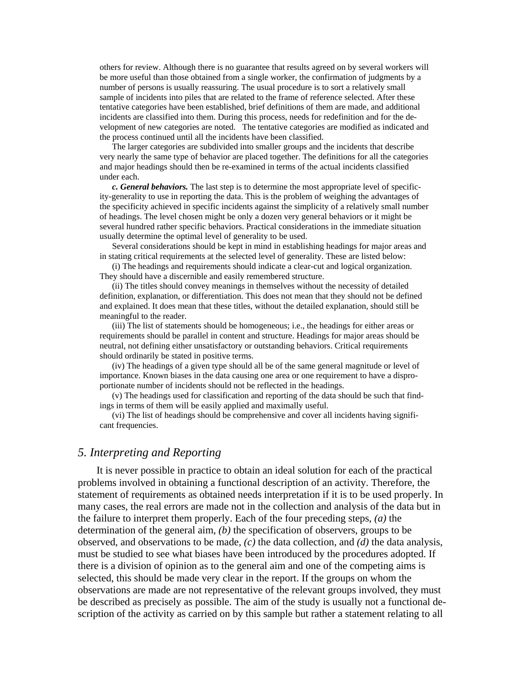others for review. Although there is no guarantee that results agreed on by several workers will be more useful than those obtained from a single worker, the confirmation of judgments by a number of persons is usually reassuring. The usual procedure is to sort a relatively small sample of incidents into piles that are related to the frame of reference selected. After these tentative categories have been established, brief definitions of them are made, and additional incidents are classified into them. During this process, needs for redefinition and for the development of new categories are noted. The tentative categories are modified as indicated and the process continued until all the incidents have been classified.

The larger categories are subdivided into smaller groups and the incidents that describe very nearly the same type of behavior are placed together. The definitions for all the categories and major headings should then be re-examined in terms of the actual incidents classified under each.

*c. General behaviors.* The last step is to determine the most appropriate level of specificity-generality to use in reporting the data. This is the problem of weighing the advantages of the specificity achieved in specific incidents against the simplicity of a relatively small number of headings. The level chosen might be only a dozen very general behaviors or it might be several hundred rather specific behaviors. Practical considerations in the immediate situation usually determine the optimal level of generality to be used.

Several considerations should be kept in mind in establishing headings for major areas and in stating critical requirements at the selected level of generality. These are listed below:

(i) The headings and requirements should indicate a clear-cut and logical organization. They should have a discernible and easily remembered structure.

(ii) The titles should convey meanings in themselves without the necessity of detailed definition, explanation, or differentiation. This does not mean that they should not be defined and explained. It does mean that these titles, without the detailed explanation, should still be meaningful to the reader.

(iii) The list of statements should be homogeneous; i.e., the headings for either areas or requirements should be parallel in content and structure. Headings for major areas should be neutral, not defining either unsatisfactory or outstanding behaviors. Critical requirements should ordinarily be stated in positive terms.

(iv) The headings of a given type should all be of the same general magnitude or level of importance. Known biases in the data causing one area or one requirement to have a disproportionate number of incidents should not be reflected in the headings.

(v) The headings used for classification and reporting of the data should be such that findings in terms of them will be easily applied and maximally useful.

(vi) The list of headings should be comprehensive and cover all incidents having significant frequencies.

#### *5. Interpreting and Reporting*

It is never possible in practice to obtain an ideal solution for each of the practical problems involved in obtaining a functional description of an activity. Therefore, the statement of requirements as obtained needs interpretation if it is to be used properly. In many cases, the real errors are made not in the collection and analysis of the data but in the failure to interpret them properly. Each of the four preceding steps, *(a)* the determination of the general aim, *(b)* the specification of observers, groups to be observed, and observations to be made, *(c)* the data collection, and *(d)* the data analysis, must be studied to see what biases have been introduced by the procedures adopted. If there is a division of opinion as to the general aim and one of the competing aims is selected, this should be made very clear in the report. If the groups on whom the observations are made are not representative of the relevant groups involved, they must be described as precisely as possible. The aim of the study is usually not a functional description of the activity as carried on by this sample but rather a statement relating to all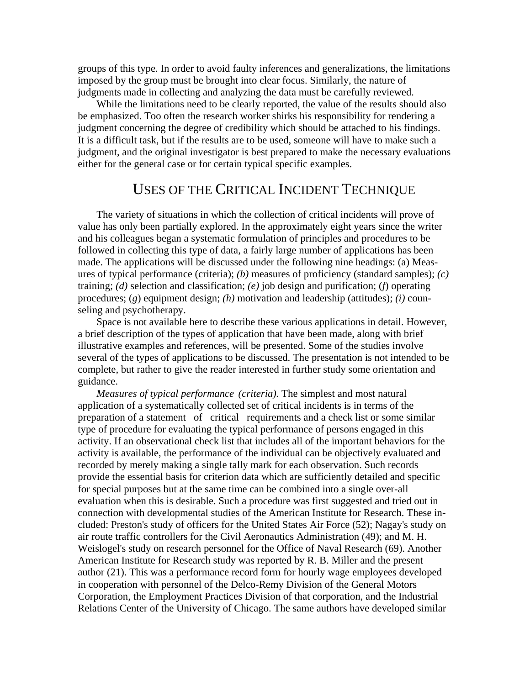groups of this type. In order to avoid faulty inferences and generalizations, the limitations imposed by the group must be brought into clear focus. Similarly, the nature of judgments made in collecting and analyzing the data must be carefully reviewed.

While the limitations need to be clearly reported, the value of the results should also be emphasized. Too often the research worker shirks his responsibility for rendering a judgment concerning the degree of credibility which should be attached to his findings. It is a difficult task, but if the results are to be used, someone will have to make such a judgment, and the original investigator is best prepared to make the necessary evaluations either for the general case or for certain typical specific examples.

## USES OF THE CRITICAL INCIDENT TECHNIQUE

The variety of situations in which the collection of critical incidents will prove of value has only been partially explored. In the approximately eight years since the writer and his colleagues began a systematic formulation of principles and procedures to be followed in collecting this type of data, a fairly large number of applications has been made. The applications will be discussed under the following nine headings: (a) Measures of typical performance (criteria); *(b)* measures of proficiency (standard samples); *(c)*  training; *(d)* selection and classification; *(e)* job design and purification; (*f*) operating procedures; (*g*) equipment design; *(h)* motivation and leadership (attitudes); *(i)* counseling and psychotherapy.

Space is not available here to describe these various applications in detail. However, a brief description of the types of application that have been made, along with brief illustrative examples and references, will be presented. Some of the studies involve several of the types of applications to be discussed. The presentation is not intended to be complete, but rather to give the reader interested in further study some orientation and guidance.

*Measures of typical performance (criteria).* The simplest and most natural application of a systematically collected set of critical incidents is in terms of the preparation of a statement of critical requirements and a check list or some similar type of procedure for evaluating the typical performance of persons engaged in this activity. If an observational check list that includes all of the important behaviors for the activity is available, the performance of the individual can be objectively evaluated and recorded by merely making a single tally mark for each observation. Such records provide the essential basis for criterion data which are sufficiently detailed and specific for special purposes but at the same time can be combined into a single over-all evaluation when this is desirable. Such a procedure was first suggested and tried out in connection with developmental studies of the American Institute for Research. These included: Preston's study of officers for the United States Air Force (52); Nagay's study on air route traffic controllers for the Civil Aeronautics Administration (49); and M. H. Weislogel's study on research personnel for the Office of Naval Research (69). Another American Institute for Research study was reported by R. B. Miller and the present author (21). This was a performance record form for hourly wage employees developed in cooperation with personnel of the Delco-Remy Division of the General Motors Corporation, the Employment Practices Division of that corporation, and the Industrial Relations Center of the University of Chicago. The same authors have developed similar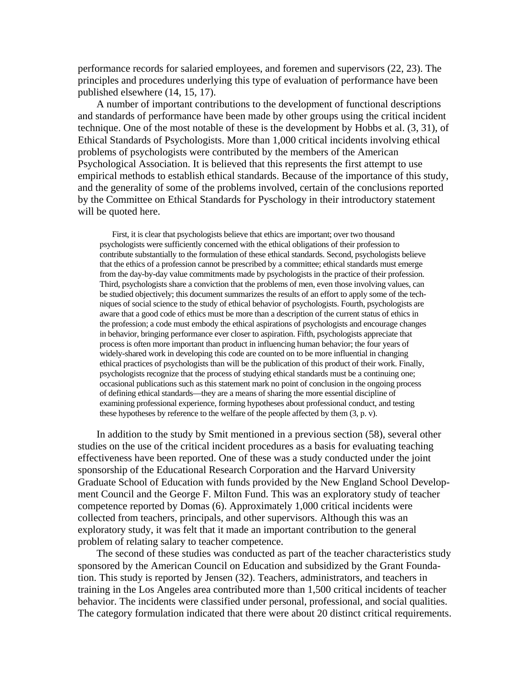performance records for salaried employees, and foremen and supervisors (22, 23). The principles and procedures underlying this type of evaluation of performance have been published elsewhere (14, 15, 17).

A number of important contributions to the development of functional descriptions and standards of performance have been made by other groups using the critical incident technique. One of the most notable of these is the development by Hobbs et al. (3, 31), of Ethical Standards of Psychologists. More than 1,000 critical incidents involving ethical problems of psychologists were contributed by the members of the American Psychological Association. It is believed that this represents the first attempt to use empirical methods to establish ethical standards. Because of the importance of this study, and the generality of some of the problems involved, certain of the conclusions reported by the Committee on Ethical Standards for Pyschology in their introductory statement will be quoted here.

First, it is clear that psychologists believe that ethics are important; over two thousand psychologists were sufficiently concerned with the ethical obligations of their profession to contribute substantially to the formulation of these ethical standards. Second, psychologists believe that the ethics of a profession cannot be prescribed by a committee; ethical standards must emerge from the day-by-day value commitments made by psychologists in the practice of their profession. Third, psychologists share a conviction that the problems of men, even those involving values, can be studied objectively; this document summarizes the results of an effort to apply some of the techniques of social science to the study of ethical behavior of psychologists. Fourth, psychologists are aware that a good code of ethics must be more than a description of the current status of ethics in the profession; a code must embody the ethical aspirations of psychologists and encourage changes in behavior, bringing performance ever closer to aspiration. Fifth, psychologists appreciate that process is often more important than product in influencing human behavior; the four years of widely-shared work in developing this code are counted on to be more influential in changing ethical practices of psychologists than will be the publication of this product of their work. Finally, psychologists recognize that the process of studying ethical standards must be a continuing one; occasional publications such as this statement mark no point of conclusion in the ongoing process of defining ethical standards—they are a means of sharing the more essential discipline of examining professional experience, forming hypotheses about professional conduct, and testing these hypotheses by reference to the welfare of the people affected by them (3, p. v).

In addition to the study by Smit mentioned in a previous section (58), several other studies on the use of the critical incident procedures as a basis for evaluating teaching effectiveness have been reported. One of these was a study conducted under the joint sponsorship of the Educational Research Corporation and the Harvard University Graduate School of Education with funds provided by the New England School Development Council and the George F. Milton Fund. This was an exploratory study of teacher competence reported by Domas (6). Approximately 1,000 critical incidents were collected from teachers, principals, and other supervisors. Although this was an exploratory study, it was felt that it made an important contribution to the general problem of relating salary to teacher competence.

The second of these studies was conducted as part of the teacher characteristics study sponsored by the American Council on Education and subsidized by the Grant Foundation. This study is reported by Jensen (32). Teachers, administrators, and teachers in training in the Los Angeles area contributed more than 1,500 critical incidents of teacher behavior. The incidents were classified under personal, professional, and social qualities. The category formulation indicated that there were about 20 distinct critical requirements.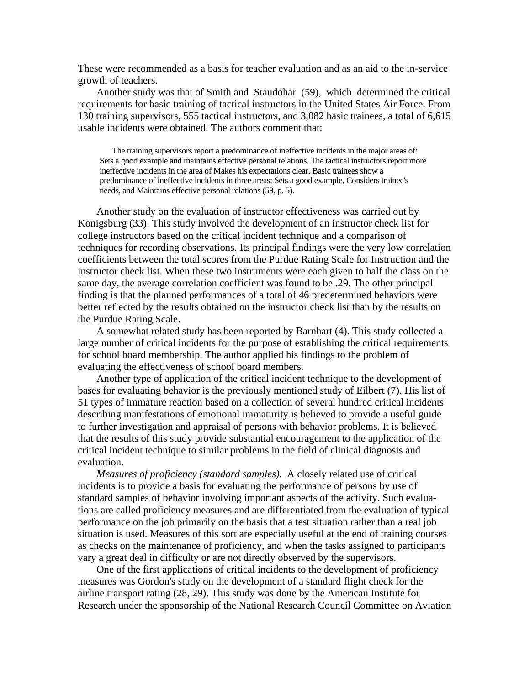These were recommended as a basis for teacher evaluation and as an aid to the in-service growth of teachers.

Another study was that of Smith and Staudohar (59), which determined the critical requirements for basic training of tactical instructors in the United States Air Force. From 130 training supervisors, 555 tactical instructors, and 3,082 basic trainees, a total of 6,615 usable incidents were obtained. The authors comment that:

The training supervisors report a predominance of ineffective incidents in the major areas of: Sets a good example and maintains effective personal relations. The tactical instructors report more ineffective incidents in the area of Makes his expectations clear. Basic trainees show a predominance of ineffective incidents in three areas: Sets a good example, Considers trainee's needs, and Maintains effective personal relations (59, p. 5).

Another study on the evaluation of instructor effectiveness was carried out by Konigsburg (33). This study involved the development of an instructor check list for college instructors based on the critical incident technique and a comparison of techniques for recording observations. Its principal findings were the very low correlation coefficients between the total scores from the Purdue Rating Scale for Instruction and the instructor check list. When these two instruments were each given to half the class on the same day, the average correlation coefficient was found to be .29. The other principal finding is that the planned performances of a total of 46 predetermined behaviors were better reflected by the results obtained on the instructor check list than by the results on the Purdue Rating Scale.

A somewhat related study has been reported by Barnhart (4). This study collected a large number of critical incidents for the purpose of establishing the critical requirements for school board membership. The author applied his findings to the problem of evaluating the effectiveness of school board members.

Another type of application of the critical incident technique to the development of bases for evaluating behavior is the previously mentioned study of Eilbert (7). His list of 51 types of immature reaction based on a collection of several hundred critical incidents describing manifestations of emotional immaturity is believed to provide a useful guide to further investigation and appraisal of persons with behavior problems. It is believed that the results of this study provide substantial encouragement to the application of the critical incident technique to similar problems in the field of clinical diagnosis and evaluation.

*Measures of proficiency (standard samples).* A closely related use of critical incidents is to provide a basis for evaluating the performance of persons by use of standard samples of behavior involving important aspects of the activity. Such evaluations are called proficiency measures and are differentiated from the evaluation of typical performance on the job primarily on the basis that a test situation rather than a real job situation is used. Measures of this sort are especially useful at the end of training courses as checks on the maintenance of proficiency, and when the tasks assigned to participants vary a great deal in difficulty or are not directly observed by the supervisors.

One of the first applications of critical incidents to the development of proficiency measures was Gordon's study on the development of a standard flight check for the airline transport rating (28, 29). This study was done by the American Institute for Research under the sponsorship of the National Research Council Committee on Aviation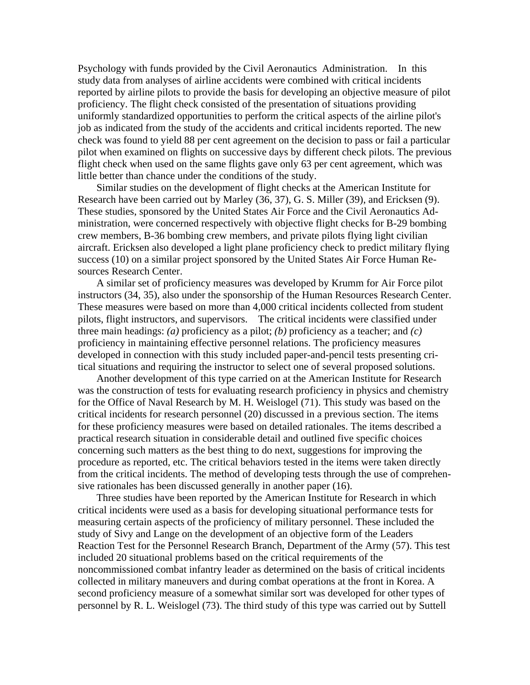Psychology with funds provided by the Civil Aeronautics Administration. In this study data from analyses of airline accidents were combined with critical incidents reported by airline pilots to provide the basis for developing an objective measure of pilot proficiency. The flight check consisted of the presentation of situations providing uniformly standardized opportunities to perform the critical aspects of the airline pilot's job as indicated from the study of the accidents and critical incidents reported. The new check was found to yield 88 per cent agreement on the decision to pass or fail a particular pilot when examined on flights on successive days by different check pilots. The previous flight check when used on the same flights gave only 63 per cent agreement, which was little better than chance under the conditions of the study.

Similar studies on the development of flight checks at the American Institute for Research have been carried out by Marley (36, 37), G. S. Miller (39), and Ericksen (9). These studies, sponsored by the United States Air Force and the Civil Aeronautics Administration, were concerned respectively with objective flight checks for B-29 bombing crew members, B-36 bombing crew members, and private pilots flying light civilian aircraft. Ericksen also developed a light plane proficiency check to predict military flying success (10) on a similar project sponsored by the United States Air Force Human Resources Research Center.

A similar set of proficiency measures was developed by Krumm for Air Force pilot instructors (34, 35), also under the sponsorship of the Human Resources Research Center. These measures were based on more than 4,000 critical incidents collected from student pilots, flight instructors, and supervisors. The critical incidents were classified under three main headings: *(a)* proficiency as a pilot; *(b)* proficiency as a teacher; and *(c)*  proficiency in maintaining effective personnel relations. The proficiency measures developed in connection with this study included paper-and-pencil tests presenting critical situations and requiring the instructor to select one of several proposed solutions.

Another development of this type carried on at the American Institute for Research was the construction of tests for evaluating research proficiency in physics and chemistry for the Office of Naval Research by M. H. Weislogel (71). This study was based on the critical incidents for research personnel (20) discussed in a previous section. The items for these proficiency measures were based on detailed rationales. The items described a practical research situation in considerable detail and outlined five specific choices concerning such matters as the best thing to do next, suggestions for improving the procedure as reported, etc. The critical behaviors tested in the items were taken directly from the critical incidents. The method of developing tests through the use of comprehensive rationales has been discussed generally in another paper (16).

Three studies have been reported by the American Institute for Research in which critical incidents were used as a basis for developing situational performance tests for measuring certain aspects of the proficiency of military personnel. These included the study of Sivy and Lange on the development of an objective form of the Leaders Reaction Test for the Personnel Research Branch, Department of the Army (57). This test included 20 situational problems based on the critical requirements of the noncommissioned combat infantry leader as determined on the basis of critical incidents collected in military maneuvers and during combat operations at the front in Korea. A second proficiency measure of a somewhat similar sort was developed for other types of personnel by R. L. Weislogel (73). The third study of this type was carried out by Suttell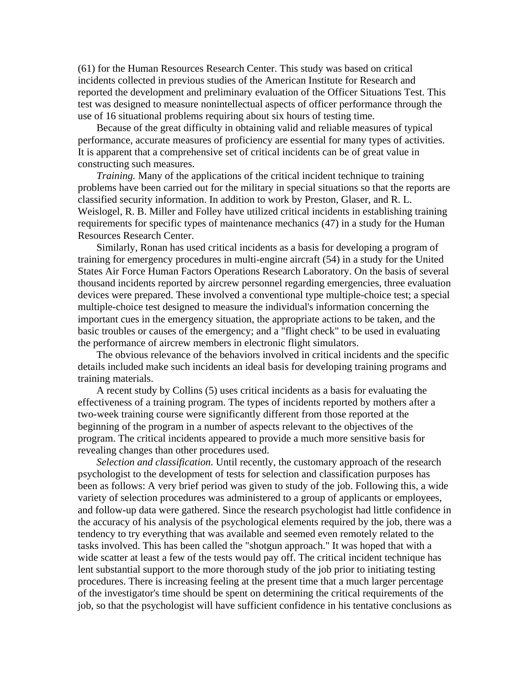(61) for the Human Resources Research Center. This study was based on critical incidents collected in previous studies of the American Institute for Research and reported the development and preliminary evaluation of the Officer Situations Test. This test was designed to measure nonintellectual aspects of officer performance through the use of 16 situational problems requiring about six hours of testing time.

Because of the great difficulty in obtaining valid and reliable measures of typical performance, accurate measures of proficiency are essential for many types of activities. It is apparent that a comprehensive set of critical incidents can be of great value in constructing such measures.

*Training.* Many of the applications of the critical incident technique to training problems have been carried out for the military in special situations so that the reports are classified security information. In addition to work by Preston, Glaser, and R. L. Weislogel, R. B. Miller and Folley have utilized critical incidents in establishing training requirements for specific types of maintenance mechanics (47) in a study for the Human Resources Research Center.

Similarly, Ronan has used critical incidents as a basis for developing a program of training for emergency procedures in multi-engine aircraft (54) in a study for the United States Air Force Human Factors Operations Research Laboratory. On the basis of several thousand incidents reported by aircrew personnel regarding emergencies, three evaluation devices were prepared. These involved a conventional type multiple-choice test; a special multiple-choice test designed to measure the individual's information concerning the important cues in the emergency situation, the appropriate actions to be taken, and the basic troubles or causes of the emergency; and a "flight check" to be used in evaluating the performance of aircrew members in electronic flight simulators.

The obvious relevance of the behaviors involved in critical incidents and the specific details included make such incidents an ideal basis for developing training programs and training materials.

A recent study by Collins (5) uses critical incidents as a basis for evaluating the effectiveness of a training program. The types of incidents reported by mothers after a two-week training course were significantly different from those reported at the beginning of the program in a number of aspects relevant to the objectives of the program. The critical incidents appeared to provide a much more sensitive basis for revealing changes than other procedures used.

*Selection and classification.* Until recently, the customary approach of the research psychologist to the development of tests for selection and classification purposes has been as follows: A very brief period was given to study of the job. Following this, a wide variety of selection procedures was administered to a group of applicants or employees, and follow-up data were gathered. Since the research psychologist had little confidence in the accuracy of his analysis of the psychological elements required by the job, there was a tendency to try everything that was available and seemed even remotely related to the tasks involved. This has been called the "shotgun approach." It was hoped that with a wide scatter at least a few of the tests would pay off. The critical incident technique has lent substantial support to the more thorough study of the job prior to initiating testing procedures. There is increasing feeling at the present time that a much larger percentage of the investigator's time should be spent on determining the critical requirements of the job, so that the psychologist will have sufficient confidence in his tentative conclusions as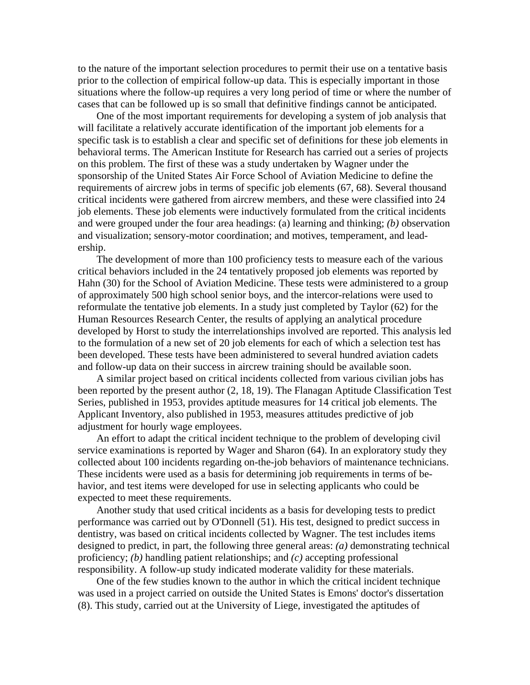to the nature of the important selection procedures to permit their use on a tentative basis prior to the collection of empirical follow-up data. This is especially important in those situations where the follow-up requires a very long period of time or where the number of cases that can be followed up is so small that definitive findings cannot be anticipated.

One of the most important requirements for developing a system of job analysis that will facilitate a relatively accurate identification of the important job elements for a specific task is to establish a clear and specific set of definitions for these job elements in behavioral terms. The American Institute for Research has carried out a series of projects on this problem. The first of these was a study undertaken by Wagner under the sponsorship of the United States Air Force School of Aviation Medicine to define the requirements of aircrew jobs in terms of specific job elements (67, 68). Several thousand critical incidents were gathered from aircrew members, and these were classified into 24 job elements. These job elements were inductively formulated from the critical incidents and were grouped under the four area headings: (a) learning and thinking; *(b)* observation and visualization; sensory-motor coordination; and motives, temperament, and leadership.

The development of more than 100 proficiency tests to measure each of the various critical behaviors included in the 24 tentatively proposed job elements was reported by Hahn (30) for the School of Aviation Medicine. These tests were administered to a group of approximately 500 high school senior boys, and the intercor-relations were used to reformulate the tentative job elements. In a study just completed by Taylor (62) for the Human Resources Research Center, the results of applying an analytical procedure developed by Horst to study the interrelationships involved are reported. This analysis led to the formulation of a new set of 20 job elements for each of which a selection test has been developed. These tests have been administered to several hundred aviation cadets and follow-up data on their success in aircrew training should be available soon.

A similar project based on critical incidents collected from various civilian jobs has been reported by the present author (2, 18, 19). The Flanagan Aptitude Classification Test Series, published in 1953, provides aptitude measures for 14 critical job elements. The Applicant Inventory, also published in 1953, measures attitudes predictive of job adjustment for hourly wage employees.

An effort to adapt the critical incident technique to the problem of developing civil service examinations is reported by Wager and Sharon (64). In an exploratory study they collected about 100 incidents regarding on-the-job behaviors of maintenance technicians. These incidents were used as a basis for determining job requirements in terms of behavior, and test items were developed for use in selecting applicants who could be expected to meet these requirements.

Another study that used critical incidents as a basis for developing tests to predict performance was carried out by O'Donnell (51). His test, designed to predict success in dentistry, was based on critical incidents collected by Wagner. The test includes items designed to predict, in part, the following three general areas: *(a)* demonstrating technical proficiency; *(b)* handling patient relationships; and *(c)* accepting professional responsibility. A follow-up study indicated moderate validity for these materials.

One of the few studies known to the author in which the critical incident technique was used in a project carried on outside the United States is Emons' doctor's dissertation (8). This study, carried out at the University of Liege, investigated the aptitudes of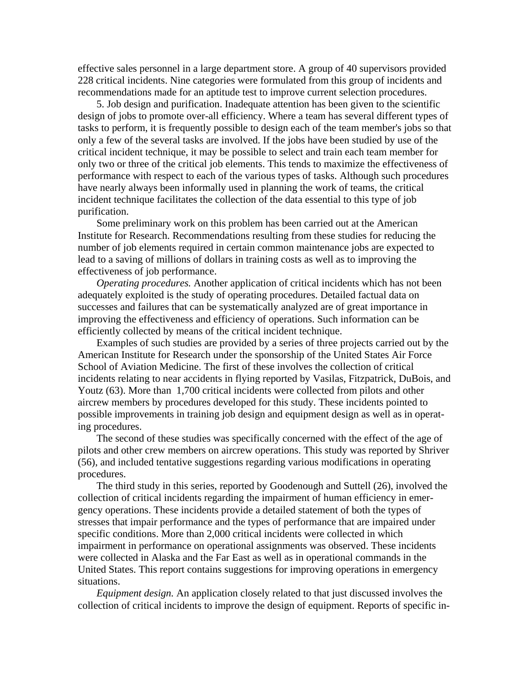effective sales personnel in a large department store. A group of 40 supervisors provided 228 critical incidents. Nine categories were formulated from this group of incidents and recommendations made for an aptitude test to improve current selection procedures.

5. Job design and purification. Inadequate attention has been given to the scientific design of jobs to promote over-all efficiency. Where a team has several different types of tasks to perform, it is frequently possible to design each of the team member's jobs so that only a few of the several tasks are involved. If the jobs have been studied by use of the critical incident technique, it may be possible to select and train each team member for only two or three of the critical job elements. This tends to maximize the effectiveness of performance with respect to each of the various types of tasks. Although such procedures have nearly always been informally used in planning the work of teams, the critical incident technique facilitates the collection of the data essential to this type of job purification.

Some preliminary work on this problem has been carried out at the American Institute for Research. Recommendations resulting from these studies for reducing the number of job elements required in certain common maintenance jobs are expected to lead to a saving of millions of dollars in training costs as well as to improving the effectiveness of job performance.

*Operating procedures.* Another application of critical incidents which has not been adequately exploited is the study of operating procedures. Detailed factual data on successes and failures that can be systematically analyzed are of great importance in improving the effectiveness and efficiency of operations. Such information can be efficiently collected by means of the critical incident technique.

Examples of such studies are provided by a series of three projects carried out by the American Institute for Research under the sponsorship of the United States Air Force School of Aviation Medicine. The first of these involves the collection of critical incidents relating to near accidents in flying reported by Vasilas, Fitzpatrick, DuBois, and Youtz (63). More than 1,700 critical incidents were collected from pilots and other aircrew members by procedures developed for this study. These incidents pointed to possible improvements in training job design and equipment design as well as in operating procedures.

The second of these studies was specifically concerned with the effect of the age of pilots and other crew members on aircrew operations. This study was reported by Shriver (56), and included tentative suggestions regarding various modifications in operating procedures.

The third study in this series, reported by Goodenough and Suttell (26), involved the collection of critical incidents regarding the impairment of human efficiency in emergency operations. These incidents provide a detailed statement of both the types of stresses that impair performance and the types of performance that are impaired under specific conditions. More than 2,000 critical incidents were collected in which impairment in performance on operational assignments was observed. These incidents were collected in Alaska and the Far East as well as in operational commands in the United States. This report contains suggestions for improving operations in emergency situations.

*Equipment design.* An application closely related to that just discussed involves the collection of critical incidents to improve the design of equipment. Reports of specific in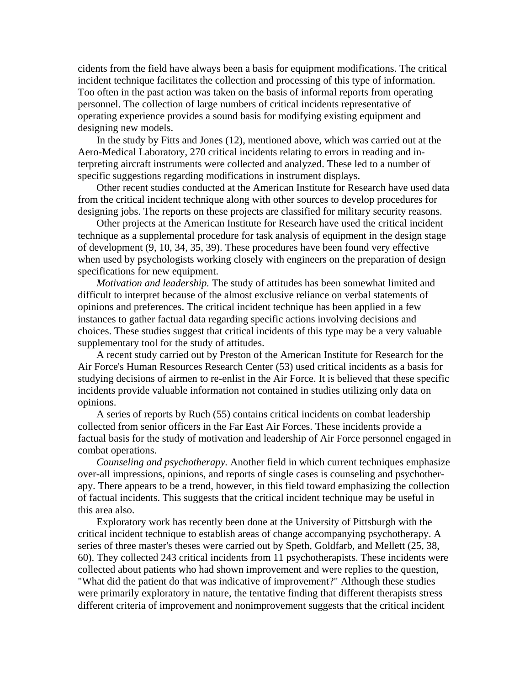cidents from the field have always been a basis for equipment modifications. The critical incident technique facilitates the collection and processing of this type of information. Too often in the past action was taken on the basis of informal reports from operating personnel. The collection of large numbers of critical incidents representative of operating experience provides a sound basis for modifying existing equipment and designing new models.

In the study by Fitts and Jones (12), mentioned above, which was carried out at the Aero-Medical Laboratory, 270 critical incidents relating to errors in reading and interpreting aircraft instruments were collected and analyzed. These led to a number of specific suggestions regarding modifications in instrument displays.

Other recent studies conducted at the American Institute for Research have used data from the critical incident technique along with other sources to develop procedures for designing jobs. The reports on these projects are classified for military security reasons.

Other projects at the American Institute for Research have used the critical incident technique as a supplemental procedure for task analysis of equipment in the design stage of development (9, 10, 34, 35, 39). These procedures have been found very effective when used by psychologists working closely with engineers on the preparation of design specifications for new equipment.

*Motivation and leadership.* The study of attitudes has been somewhat limited and difficult to interpret because of the almost exclusive reliance on verbal statements of opinions and preferences. The critical incident technique has been applied in a few instances to gather factual data regarding specific actions involving decisions and choices. These studies suggest that critical incidents of this type may be a very valuable supplementary tool for the study of attitudes.

A recent study carried out by Preston of the American Institute for Research for the Air Force's Human Resources Research Center (53) used critical incidents as a basis for studying decisions of airmen to re-enlist in the Air Force. It is believed that these specific incidents provide valuable information not contained in studies utilizing only data on opinions.

A series of reports by Ruch (55) contains critical incidents on combat leadership collected from senior officers in the Far East Air Forces. These incidents provide a factual basis for the study of motivation and leadership of Air Force personnel engaged in combat operations.

*Counseling and psychotherapy.* Another field in which current techniques emphasize over-all impressions, opinions, and reports of single cases is counseling and psychotherapy. There appears to be a trend, however, in this field toward emphasizing the collection of factual incidents. This suggests that the critical incident technique may be useful in this area also.

Exploratory work has recently been done at the University of Pittsburgh with the critical incident technique to establish areas of change accompanying psychotherapy. A series of three master's theses were carried out by Speth, Goldfarb, and Mellett (25, 38, 60). They collected 243 critical incidents from 11 psychotherapists. These incidents were collected about patients who had shown improvement and were replies to the question, "What did the patient do that was indicative of improvement?" Although these studies were primarily exploratory in nature, the tentative finding that different therapists stress different criteria of improvement and nonimprovement suggests that the critical incident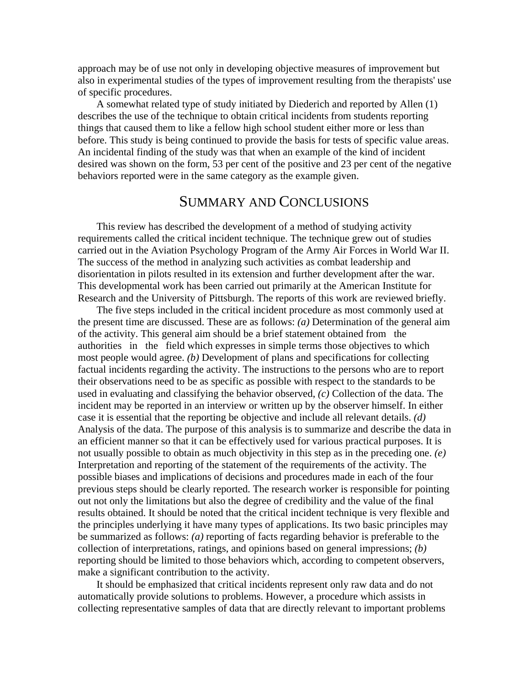approach may be of use not only in developing objective measures of improvement but also in experimental studies of the types of improvement resulting from the therapists' use of specific procedures.

A somewhat related type of study initiated by Diederich and reported by Allen (1) describes the use of the technique to obtain critical incidents from students reporting things that caused them to like a fellow high school student either more or less than before. This study is being continued to provide the basis for tests of specific value areas. An incidental finding of the study was that when an example of the kind of incident desired was shown on the form, 53 per cent of the positive and 23 per cent of the negative behaviors reported were in the same category as the example given.

### SUMMARY AND CONCLUSIONS

This review has described the development of a method of studying activity requirements called the critical incident technique. The technique grew out of studies carried out in the Aviation Psychology Program of the Army Air Forces in World War II. The success of the method in analyzing such activities as combat leadership and disorientation in pilots resulted in its extension and further development after the war. This developmental work has been carried out primarily at the American Institute for Research and the University of Pittsburgh. The reports of this work are reviewed briefly.

The five steps included in the critical incident procedure as most commonly used at the present time are discussed. These are as follows: *(a)* Determination of the general aim of the activity. This general aim should be a brief statement obtained from the authorities in the field which expresses in simple terms those objectives to which most people would agree. *(b)* Development of plans and specifications for collecting factual incidents regarding the activity. The instructions to the persons who are to report their observations need to be as specific as possible with respect to the standards to be used in evaluating and classifying the behavior observed, *(c)* Collection of the data. The incident may be reported in an interview or written up by the observer himself. In either case it is essential that the reporting be objective and include all relevant details. *(d)*  Analysis of the data. The purpose of this analysis is to summarize and describe the data in an efficient manner so that it can be effectively used for various practical purposes. It is not usually possible to obtain as much objectivity in this step as in the preceding one. *(e)*  Interpretation and reporting of the statement of the requirements of the activity. The possible biases and implications of decisions and procedures made in each of the four previous steps should be clearly reported. The research worker is responsible for pointing out not only the limitations but also the degree of credibility and the value of the final results obtained. It should be noted that the critical incident technique is very flexible and the principles underlying it have many types of applications. Its two basic principles may be summarized as follows: *(a)* reporting of facts regarding behavior is preferable to the collection of interpretations, ratings, and opinions based on general impressions; *(b)*  reporting should be limited to those behaviors which, according to competent observers, make a significant contribution to the activity.

It should be emphasized that critical incidents represent only raw data and do not automatically provide solutions to problems. However, a procedure which assists in collecting representative samples of data that are directly relevant to important problems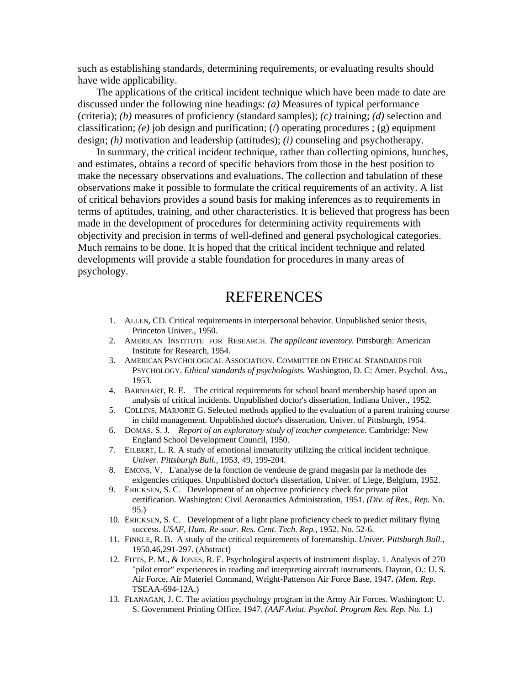such as establishing standards, determining requirements, or evaluating results should have wide applicability.

The applications of the critical incident technique which have been made to date are discussed under the following nine headings: *(a)* Measures of typical performance (criteria); *(b)* measures of proficiency (standard samples); *(c)* training; *(d)* selection and classification; *(e)* job design and purification; (/) operating procedures ; (g) equipment design; *(h)* motivation and leadership (attitudes); *(i)* counseling and psychotherapy.

In summary, the critical incident technique, rather than collecting opinions, hunches, and estimates, obtains a record of specific behaviors from those in the best position to make the necessary observations and evaluations. The collection and tabulation of these observations make it possible to formulate the critical requirements of an activity. A list of critical behaviors provides a sound basis for making inferences as to requirements in terms of aptitudes, training, and other characteristics. It is believed that progress has been made in the development of procedures for determining activity requirements with objectivity and precision in terms of well-defined and general psychological categories. Much remains to be done. It is hoped that the critical incident technique and related developments will provide a stable foundation for procedures in many areas of psychology.

## **REFERENCES**

- 1. ALLEN, CD. Critical requirements in interpersonal behavior. Unpublished senior thesis, Princeton Univer., 1950.
- 2. AMERICAN INSTITUTE FOR RESEARCH. *The applicant inventory.* Pittsburgh: American Institute for Research, 1954.
- 3. AMERICAN PSYCHOLOGICAL ASSOCIATION. COMMITTEE ON ETHICAL STANDARDS FOR PSYCHOLOGY. *Ethical standards of psychologists.* Washington, D. C: Amer. Psychol. Ass., 1953.
- 4. BARNHART, R. E. The critical requirements for school board membership based upon an analysis of critical incidents. Unpublished doctor's dissertation, Indiana Univer., 1952.
- 5. COLLINS, MARJORIE G. Selected methods applied to the evaluation of a parent training course in child management. Unpublished doctor's dissertation, Univer. of Pittsburgh, 1954.
- 6. DOMAS, S. J. *Report of an exploratory study of teacher competence.* Cambridge: New England School Development Council, 1950.
- 7. EILBERT, L. R. A study of emotional immaturity utilizing the critical incident technique. *Univer. Pittsburgh Bull.,* 1953, 49, 199-204.
- 8. EMONS, V. L'analyse de la fonction de vendeuse de grand magasin par la methode des exigencies critiques. Unpublished doctor's dissertation, Univer. of Liege, Belgium, 1952.
- 9. ERICKSEN, S. C. Development of an objective proficiency check for private pilot certification. Washington: Civil Aeronautics Administration, 1951. *(Div. of Res., Rep.* No. 95.)
- 10. ERICKSEN, S. C. Development of a light plane proficiency check to predict military flying success. *USAF, Hum. Re-sour. Res. Cent. Tech. Rep.,* 1952, No. 52-6.
- 11. FINKLE, R. B. A study of the critical requirements of foremanship. *Univer. Pittsburgh Bull.,*  1950,46,291-297. (Abstract)
- 12. FITTS, P. M., & JONES, R. E. Psychological aspects of instrument display. 1. Analysis of 270 "pilot error" experiences in reading and interpreting aircraft instruments. Dayton, O.: U. S. Air Force, Air Materiel Command, Wright-Patterson Air Force Base, 1947. *(Mem. Rep.*  TSEAA-694-12A.)
- 13. FLANAGAN, J. C. The aviation psychology program in the Army Air Forces. Washington: U. S. Government Printing Office, 1947. *(AAF Aviat. Psychol. Program Res. Rep.* No. 1.)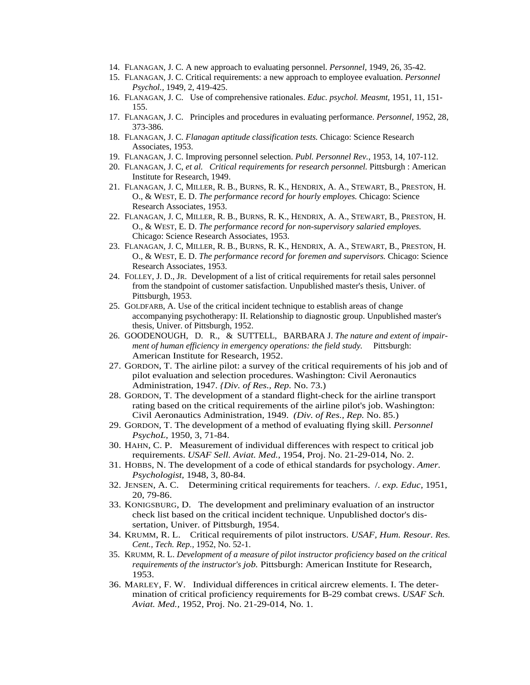- 14. FLANAGAN, J. C. A new approach to evaluating personnel. *Personnel,* 1949, 26, 35-42.
- 15. FLANAGAN, J. C. Critical requirements: a new approach to employee evaluation. *Personnel Psychol.,* 1949, 2, 419-425.
- 16. FLANAGAN, J. C. Use of comprehensive rationales. *Educ. psychol. Measmt,* 1951, 11, 151- 155.
- 17. FLANAGAN, J. C. Principles and procedures in evaluating performance. *Personnel,* 1952, 28, 373-386.
- 18. FLANAGAN, J. C. *Flanagan aptitude classification tests.* Chicago: Science Research Associates, 1953.
- 19. FLANAGAN, J. C. Improving personnel selection. *Publ. Personnel Rev.,* 1953, 14, 107-112.
- 20. FLANAGAN, J. C, *et al. Critical requirements for research personnel.* Pittsburgh : American Institute for Research, 1949.
- 21. FLANAGAN, J. C, MILLER, R. B., BURNS, R. K., HENDRIX, A. A., STEWART, B., PRESTON, H. O., & WEST, E. D. *The performance record for hourly employes.* Chicago: Science Research Associates, 1953.
- 22. FLANAGAN, J. C, MILLER, R. B., BURNS, R. K., HENDRIX, A. A., STEWART, B., PRESTON, H. O., & WEST, E. D. *The performance record for non-supervisory salaried employes.*  Chicago: Science Research Associates, 1953.
- 23. FLANAGAN, J. C, MILLER, R. B., BURNS, R. K., HENDRIX, A. A., STEWART, B., PRESTON, H. O., & WEST, E. D. *The performance record for foremen and supervisors.* Chicago: Science Research Associates, 1953.
- 24. FOLLEY, J. D., JR. Development of a list of critical requirements for retail sales personnel from the standpoint of customer satisfaction. Unpublished master's thesis, Univer. of Pittsburgh, 1953.
- 25. GOLDFARB, A. Use of the critical incident technique to establish areas of change accompanying psychotherapy: II. Relationship to diagnostic group. Unpublished master's thesis, Univer. of Pittsburgh, 1952.
- 26. GOODENOUGH, D. R., & SUTTELL, BARBARA J. *The nature and extent of impairment of human efficiency in emergency operations: the field study.* Pittsburgh: American Institute for Research, 1952.
- 27. GORDON, T. The airline pilot: a survey of the critical requirements of his job and of pilot evaluation and selection procedures. Washington: Civil Aeronautics Administration, 1947. *{Div. of Res., Rep.* No. 73.)
- 28. GORDON, T. The development of a standard flight-check for the airline transport rating based on the critical requirements of the airline pilot's job. Washington: Civil Aeronautics Administration, 1949. *(Div. of Res., Rep.* No. 85.)
- 29. GORDON, T. The development of a method of evaluating flying skill. *Personnel PsychoL,* 1950, 3, 71-84.
- 30. HAHN, C. P. Measurement of individual differences with respect to critical job requirements. *USAF Sell. Aviat. Med.,* 1954, Proj. No. 21-29-014, No. 2.
- 31. HOBBS, N. The development of a code of ethical standards for psychology. *Amer. Psychologist,* 1948, 3, 80-84.
- 32. JENSEN, A. C. Determining critical requirements for teachers. /. *exp. Educ,* 1951, 20, 79-86.
- 33. KONIGSBURG, D. The development and preliminary evaluation of an instructor check list based on the critical incident technique. Unpublished doctor's dissertation, Univer. of Pittsburgh, 1954.
- 34. KRUMM, R. L. Critical requirements of pilot instructors. *USAF, Hum. Resour. Res. Cent., Tech. Rep.,* 1952, No. 52-1.
- 35. KRUMM, R. L. *Development of a measure of pilot instructor proficiency based on the critical requirements of the instructor's job.* Pittsburgh: American Institute for Research, 1953.
- 36. MARLEY, F. W. Individual differences in critical aircrew elements. I. The determination of critical proficiency requirements for B-29 combat crews. *USAF Sch. Aviat. Med.,* 1952, Proj. No. 21-29-014, No. 1.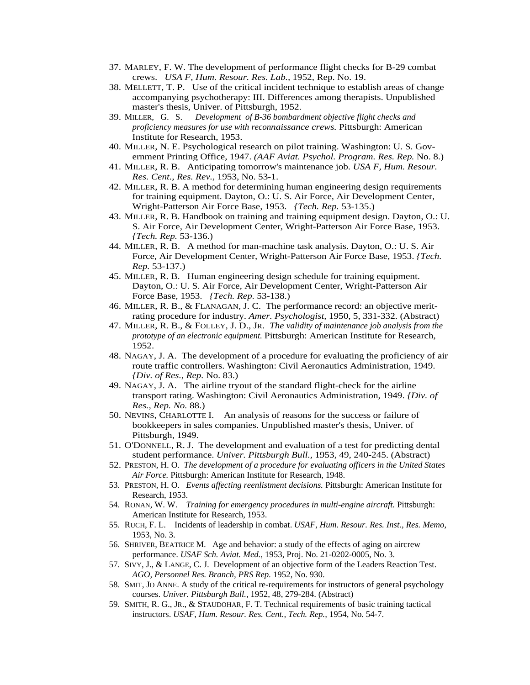- 37. MARLEY, F. W. The development of performance flight checks for B-29 combat crews. *USA F, Hum. Resour. Res. Lab.,* 1952, Rep. No. 19.
- 38. MELLETT, T. P. Use of the critical incident technique to establish areas of change accompanying psychotherapy: III. Differences among therapists. Unpublished master's thesis, Univer. of Pittsburgh, 1952.
- 39. MILLER, G. S. *Development of B-36 bombardment objective flight checks and proficiency measures for use with reconnaissance crews.* Pittsburgh: American Institute for Research, 1953.
- 40. MILLER, N. E. Psychological research on pilot training. Washington: U. S. Government Printing Office, 1947. *(AAF Aviat. Psychol. Program. Res. Rep.* No. 8.)
- 41. MILLER, R. B. Anticipating tomorrow's maintenance job. *USA F, Hum. Resour. Res. Cent., Res. Rev.,* 1953, No. 53-1.
- 42. MILLER, R. B. A method for determining human engineering design requirements for training equipment. Dayton, O.: U. S. Air Force, Air Development Center, Wright-Patterson Air Force Base, 1953. *{Tech. Rep.* 53-135.)
- 43. MILLER, R. B. Handbook on training and training equipment design. Dayton, O.: U. S. Air Force, Air Development Center, Wright-Patterson Air Force Base, 1953. *{Tech. Rep.* 53-136.)
- 44. MILLER, R. B. A method for man-machine task analysis. Dayton, O.: U. S. Air Force, Air Development Center, Wright-Patterson Air Force Base, 1953. *{Tech. Rep.* 53-137.)
- 45. MILLER, R. B. Human engineering design schedule for training equipment. Dayton, O.: U. S. Air Force, Air Development Center, Wright-Patterson Air Force Base, 1953. *{Tech. Rep.* 53-138.)
- 46. MILLER, R. B., & FLANAGAN, J. C. The performance record: an objective meritrating procedure for industry. *Amer. Psychologist,* 1950, 5, 331-332. (Abstract)
- 47. MILLER, R. B., & FOLLEY, J. D., JR. *The validity of maintenance job analysis from the prototype of an electronic equipment.* Pittsburgh: American Institute for Research, 1952.
- 48. NAGAY, J. A. The development of a procedure for evaluating the proficiency of air route traffic controllers. Washington: Civil Aeronautics Administration, 1949. *{Div. of Res., Rep.* No. 83.)
- 49. NAGAY, J. A. The airline tryout of the standard flight-check for the airline transport rating. Washington: Civil Aeronautics Administration, 1949. *{Div. of Res., Rep. No.* 88.)
- 50. NEVINS, CHARLOTTE I. An analysis of reasons for the success or failure of bookkeepers in sales companies. Unpublished master's thesis, Univer. of Pittsburgh, 1949.
- 51. O'DONNELL, R. J. The development and evaluation of a test for predicting dental student performance. *Univer. Pittsburgh Bull.,* 1953, 49, 240-245. (Abstract)
- 52. PRESTON, H. O. *The development of a procedure for evaluating officers in the United States Air Force.* Pittsburgh: American Institute for Research, 1948.
- 53. PRESTON, H. O. *Events affecting reenlistment decisions.* Pittsburgh: American Institute for Research, 1953.
- 54. RONAN, W. W. *Training for emergency procedures in multi-engine aircraft.* Pittsburgh: American Institute for Research, 1953.
- 55. RUCH, F. L. Incidents of leadership in combat. *USAF, Hum. Resour. Res. Inst., Res. Memo,*  1953, No. 3.
- 56. SHRIVER, BEATRICE M. Age and behavior: a study of the effects of aging on aircrew performance. *USAF Sch. Aviat. Med.,* 1953, Proj. No. 21-0202-0005, No. 3.
- 57. SIVY, J., & LANGE, C. J. Development of an objective form of the Leaders Reaction Test. *AGO, Personnel Res. Branch, PRS Rep.* 1952, No. 930.
- 58. SMIT, JO ANNE. A study of the critical re-requirements for instructors of general psychology courses. *Univer. Pittsburgh Bull.,* 1952, 48, 279-284. (Abstract)
- 59. SMITH, R. G., JR., & STAUDOHAR, F. T. Technical requirements of basic training tactical instructors. *USAF, Hum. Resour. Res. Cent., Tech. Rep.,* 1954, No. 54-7.